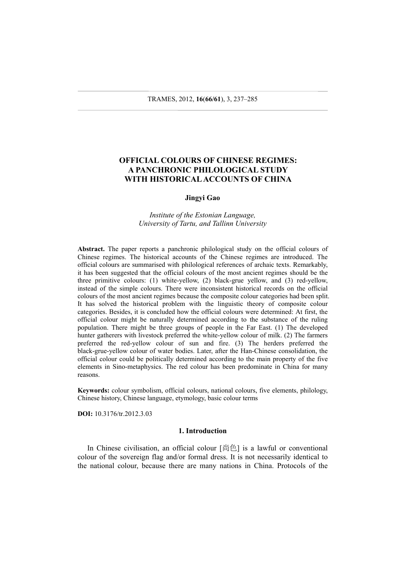## **OFFICIAL COLOURS OF CHINESE REGIMES: A PANCHRONIC PHILOLOGICAL STUDY WITH HISTORICAL ACCOUNTS OF CHINA**

### **Jingyi Gao**

*Institute of the Estonian Language, University of Tartu, and Tallinn University*

**Abstract.** The paper reports a panchronic philological study on the official colours of Chinese regimes. The historical accounts of the Chinese regimes are introduced. The official colours are summarised with philological references of archaic texts. Remarkably, it has been suggested that the official colours of the most ancient regimes should be the three primitive colours: (1) white-yellow, (2) black-grue yellow, and (3) red-yellow, instead of the simple colours. There were inconsistent historical records on the official colours of the most ancient regimes because the composite colour categories had been split. It has solved the historical problem with the linguistic theory of composite colour categories. Besides, it is concluded how the official colours were determined: At first, the official colour might be naturally determined according to the substance of the ruling population. There might be three groups of people in the Far East. (1) The developed hunter gatherers with livestock preferred the white-yellow colour of milk. (2) The farmers preferred the red-yellow colour of sun and fire. (3) The herders preferred the black-grue-yellow colour of water bodies. Later, after the Han-Chinese consolidation, the official colour could be politically determined according to the main property of the five elements in Sino-metaphysics. The red colour has been predominate in China for many reasons.

**Keywords:** colour symbolism, official colours, national colours, five elements, philology, Chinese history, Chinese language, etymology, basic colour terms

**DOI:** 10.3176/tr.2012.3.03

### **1. Introduction**

In Chinese civilisation, an official colour [尚色] is a lawful or conventional colour of the sovereign flag and/or formal dress. It is not necessarily identical to the national colour, because there are many nations in China. Protocols of the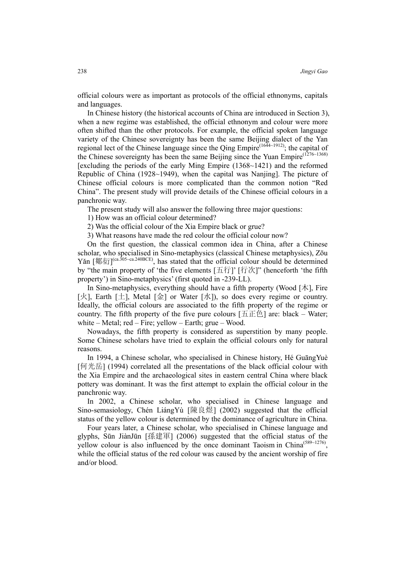official colours were as important as protocols of the official ethnonyms, capitals and languages.

In Chinese history (the historical accounts of China are introduced in Section 3), when a new regime was established, the official ethnonym and colour were more often shifted than the other protocols. For example, the official spoken language variety of the Chinese sovereignty has been the same Beijing dialect of the Yan regional lect of the Chinese language since the Qing Empire<sup>(1644~1912)</sup>; the capital of the Chinese sovereignty has been the same Beijing since the Yuan Empire<sup>(1276~1368)</sup> [excluding the periods of the early Ming Empire (1368~1421) and the reformed Republic of China (1928~1949), when the capital was Nanjing]. The picture of Chinese official colours is more complicated than the common notion "Red China". The present study will provide details of the Chinese official colours in a panchronic way.

The present study will also answer the following three major questions:

1) How was an official colour determined?

2) Was the official colour of the Xia Empire black or grue?

3) What reasons have made the red colour the official colour now?

On the first question, the classical common idea in China, after a Chinese scholar, who specialised in Sino-metaphysics (classical Chinese metaphysics), Zōu Yǎn  $[\frac{\text{Im }K}{T}]^{\text{(ca.305-ca.240BCE)}}$ , has stated that the official colour should be determined by "the main property of 'the five elements [五行]' [行次]" (henceforth 'the fifth property') in Sino-metaphysics' (first quoted in -239-LL).

In Sino-metaphysics, everything should have a fifth property (Wood [ $\uparrow\uparrow$ ], Fire [火], Earth [土], Metal [金] or Water [水]), so does every regime or country. Ideally, the official colours are associated to the fifth property of the regime or country. The fifth property of the five pure colours  $[\pm \pm \pm \pm]$  are: black – Water; white – Metal;  $red$  – Fire; yellow – Earth; grue – Wood.

Nowadays, the fifth property is considered as superstition by many people. Some Chinese scholars have tried to explain the official colours only for natural reasons.

In 1994, a Chinese scholar, who specialised in Chinese history, Hé GuāngYuè [何光岳] (1994) correlated all the presentations of the black official colour with the Xia Empire and the archaeological sites in eastern central China where black pottery was dominant. It was the first attempt to explain the official colour in the panchronic way.

In 2002, a Chinese scholar, who specialised in Chinese language and Sino-semasiology, Chén LiángYù [陳良煜] (2002) suggested that the official status of the yellow colour is determined by the dominance of agriculture in China.

Four years later, a Chinese scholar, who specialised in Chinese language and glyphs, Sūn JiànJūn [孫建軍] (2006) suggested that the official status of the yellow colour is also influenced by the once dominant Taoism in China<sup>(589~1276)</sup>, while the official status of the red colour was caused by the ancient worship of fire and/or blood.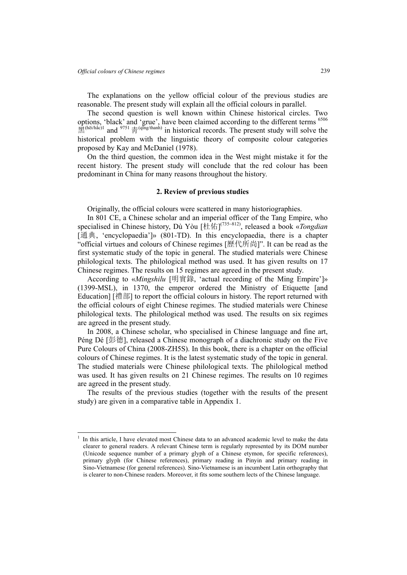$\overline{a}$ 

The explanations on the yellow official colour of the previous studies are reasonable. The present study will explain all the official colours in parallel.

The second question is well known within Chinese historical circles. Two options, 'black' and 'grue', have been claimed according to the different terms <sup>6506</sup>  $\mathbb{R}^{(h\bar{\epsilon}/h\bar{\epsilon}c)1}$  and  $\frac{9751}{751}$   $\frac{1}{\bar{F}^{(q\bar{m}g/\text{h}anh)}}$  in historical records. The present study will solve the historical problem with the linguistic theory of composite colour categories proposed by Kay and McDaniel (1978).

On the third question, the common idea in the West might mistake it for the recent history. The present study will conclude that the red colour has been predominant in China for many reasons throughout the history.

### **2. Review of previous studies**

Originally, the official colours were scattered in many historiographies.

In 801 CE, a Chinese scholar and an imperial officer of the Tang Empire, who specialised in Chinese history, Dù Yòu [杜佑] (735~812), released a book «*Tongdian*  [通典, 'encyclopaedia']» (801-TD). In this encyclopaedia, there is a chapter "official virtues and colours of Chinese regimes [歷代所尚]". It can be read as the first systematic study of the topic in general. The studied materials were Chinese philological texts. The philological method was used. It has given results on 17 Chinese regimes. The results on 15 regimes are agreed in the present study.

According to «*Mingshilu* [明實錄, 'actual recording of the Ming Empire']» (1399-MSL), in 1370, the emperor ordered the Ministry of Etiquette [and Education] [禮部] to report the official colours in history. The report returned with the official colours of eight Chinese regimes. The studied materials were Chinese philological texts. The philological method was used. The results on six regimes are agreed in the present study.

In 2008, a Chinese scholar, who specialised in Chinese language and fine art, Péng Dé [彭德], released a Chinese monograph of a diachronic study on the Five Pure Colours of China (2008-ZH5S). In this book, there is a chapter on the official colours of Chinese regimes. It is the latest systematic study of the topic in general. The studied materials were Chinese philological texts. The philological method was used. It has given results on 21 Chinese regimes. The results on 10 regimes are agreed in the present study.

The results of the previous studies (together with the results of the present study) are given in a comparative table in Appendix 1.

<sup>1</sup> In this article, I have elevated most Chinese data to an advanced academic level to make the data clearer to general readers. A relevant Chinese term is regularly represented by its DOM number (Unicode sequence number of a primary glyph of a Chinese etymon, for specific references), primary glyph (for Chinese references), primary reading in Pinyin and primary reading in Sino-Vietnamese (for general references). Sino-Vietnamese is an incumbent Latin orthography that is clearer to non-Chinese readers. Moreover, it fits some southern lects of the Chinese language.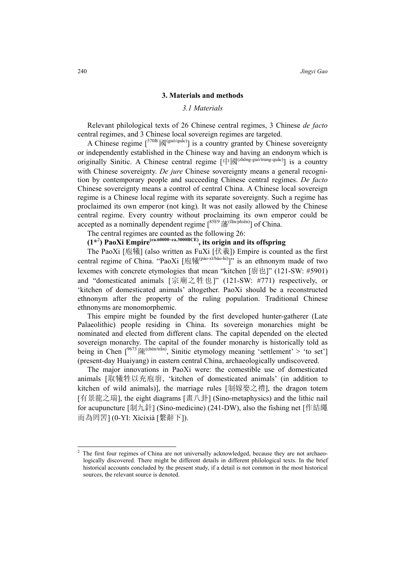### **3. Materials and methods**

### *3.1 Materials*

Relevant philological texts of 26 Chinese central regimes, 3 Chinese *de facto* central regimes, and 3 Chinese local sovereign regimes are targeted.

A Chinese regime  $\lceil^{570B} \boxtimes^{(guió/quác)} \rceil$  is a country granted by Chinese sovereignty or independently established in the Chinese way and having an endonym which is originally Sinitic. A Chinese central regime  $[\n\pm \boxtimes^{(zh\bar{o}ng-gu\tilde{o}/trung-qu\tilde{a}c)}]$  is a country with Chinese sovereignty. *De jure* Chinese sovereignty means a general recognition by contemporary people and succeeding Chinese central regimes. *De facto* Chinese sovereignty means a control of central China. A Chinese local sovereign regime is a Chinese local regime with its separate sovereignty. Such a regime has proclaimed its own emperor (not king). It was not easily allowed by the Chinese central regime. Every country without proclaiming its own emperor could be accepted as a nominally dependent regime [<sup>85E9</sup>藩<sup>(fān/phiên)</sup>] of China.

The central regimes are counted as the following 26:

## **(1\***<sup>2</sup> **) PaoXi Empire(ca.60000~ca.3000BCE), its origin and its offspring**

The PaoXi [庖犧] (also written as FuXi [伏羲]) Empire is counted as the first central regime of China. "PaoXi  $[\n\overline{B}^{\frac{1}{16}(\hat{p}\hat{a}o-x\overline{a}/b\hat{a}o-hi)}]$ " is an ethnonym made of two lexemes with concrete etymologies that mean "kitchen [廚也]" (121-SW: #5901) and "domesticated animals [宗廟之牲也]" (121-SW: #771) respectively, or 'kitchen of domesticated animals' altogether. PaoXi should be a reconstructed ethnonym after the property of the ruling population. Traditional Chinese ethnonyms are monomorphemic.

This empire might be founded by the first developed hunter-gatherer (Late Palaeolithic) people residing in China. Its sovereign monarchies might be nominated and elected from different clans. The capital depended on the elected sovereign monarchy. The capital of the founder monarchy is historically told as being in Chen  $\int^{\frac{9673}{96}}$  [structuratural], Sinitic etymology meaning 'settlement' > 'to set'] (present-day Huaiyang) in eastern central China, archaeologically undiscovered.

The major innovations in PaoXi were: the comestible use of domesticated animals [取犧牲以充庖廚, 'kitchen of domesticated animals' (in addition to kitchen of wild animals)], the marriage rules [制嫁娶之禮], the dragon totem [有景龍之瑞], the eight diagrams [畫八卦] (Sino-metaphysics) and the lithic nail for acupuncture [制九針] (Sino-medicine) (241-DW), also the fishing net [作結繩 而為罔罟] (0-YI: Xìcíxià [繫辭下]).

 $\overline{a}$ 

<sup>2</sup> The first four regimes of China are not universally acknowledged, because they are not archaeologically discovered. There might be different details in different philological texts. In the brief historical accounts concluded by the present study, if a detail is not common in the most historical sources, the relevant source is denoted.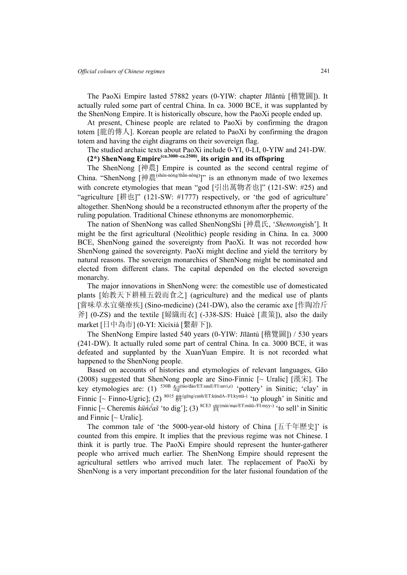The PaoXi Empire lasted 57882 years (0-YIW: chapter Jīlǎntú [稽覽圖]). It actually ruled some part of central China. In ca. 3000 BCE, it was supplanted by the ShenNong Empire. It is historically obscure, how the PaoXi people ended up.

At present, Chinese people are related to PaoXi by confirming the dragon totem [龍的傳人]. Korean people are related to PaoXi by confirming the dragon totem and having the eight diagrams on their sovereign flag.

The studied archaic texts about PaoXi include 0-YI, 0-LI, 0-YIW and 241-DW.

## **(2\*) ShenNong Empire(ca.3000~ca.2500), its origin and its offspring**

The ShenNong [神農] Empire is counted as the second central regime of China. "ShenNong [神農<sup>(shén-nóng/thần-nông)</sup>]" is an ethnonym made of two lexemes with concrete etymologies that mean "god [引出萬物者也]" (121-SW: #25) and "agriculture [耕也]" (121-SW: #1777) respectively, or 'the god of agriculture' altogether. ShenNong should be a reconstructed ethnonym after the property of the ruling population. Traditional Chinese ethnonyms are monomorphemic.

The nation of ShenNong was called ShenNongShi [神農氏, '*Shennong*ish']. It might be the first agricultural (Neolithic) people residing in China. In ca. 3000 BCE, ShenNong gained the sovereignty from PaoXi. It was not recorded how ShenNong gained the sovereignty. PaoXi might decline and yield the territory by natural reasons. The sovereign monarchies of ShenNong might be nominated and elected from different clans. The capital depended on the elected sovereign monarchy.

The major innovations in ShenNong were: the comestible use of domesticated plants [始教天下耕種五穀而食之] (agriculture) and the medical use of plants [嘗味草水宜藥療疾] (Sino-medicine) (241-DW), also the ceramic axe [作陶冶斤 斧] (0-ZS) and the textile [婦織而衣] (-338-SJS: Huàcè [畫策]), also the daily market [日中為市] (0-YI: Xìcíxià [繫辭下]).

The ShenNong Empire lasted 540 years (0-YIW: Jīlǎntú [稽覽圖]) / 530 years (241-DW). It actually ruled some part of central China. In ca. 3000 BCE, it was defeated and supplanted by the XuanYuan Empire. It is not recorded what happened to the ShenNong people.

Based on accounts of histories and etymologies of relevant languages, Gāo (2008) suggested that ShenNong people are Sino-Finnic  $\sim$  Uralic [漢宋]. The key etymologies are: (1)  $^{530B}$   $\textcircled{H}^{(\text{táo/dào/ET:sauE/FI:savi,e})}$  'pottery' in Sinitic; 'clay' in Finnic [~ Finno-Ugric]; (2)  $^{8015}$  # $^{4}$ (gēng/canh/ET:kündA-/FI:kyntä-) 'to plough' in Sinitic and Finnic [~ Cheremis *küńč́aš* 'to dig']; (3) 8CE3賣(mài/mại/ET:müü-/FI:myy-) 'to sell' in Sinitic and Finnic  $\sim$  Uralic].

The common tale of 'the 5000-year-old history of China [五千年歷史]' is counted from this empire. It implies that the previous regime was not Chinese. I think it is partly true. The PaoXi Empire should represent the hunter-gatherer people who arrived much earlier. The ShenNong Empire should represent the agricultural settlers who arrived much later. The replacement of PaoXi by ShenNong is a very important precondition for the later fusional foundation of the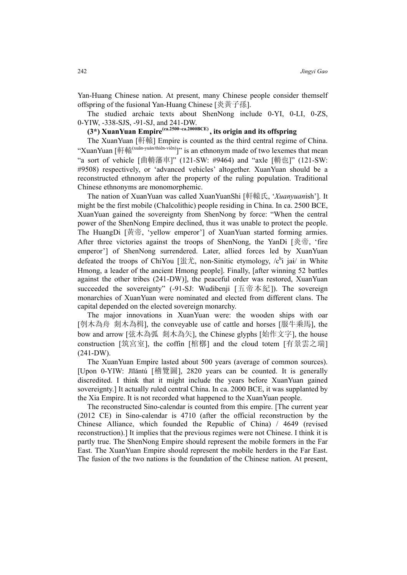Yan-Huang Chinese nation. At present, many Chinese people consider themself offspring of the fusional Yan-Huang Chinese [炎黃子孫].

The studied archaic texts about ShenNong include 0-YI, 0-LI, 0-ZS, 0-YIW, -338-SJS, -91-SJ, and 241-DW.

# **(3\*) XuanYuan Empire(ca.2500~ca.2000BCE) , its origin and its offspring**

The XuanYuan [軒轅] Empire is counted as the third central regime of China. "XuanYuan [軒轅(xuān-yuán/thiên-viên)]" is an ethnonym made of two lexemes that mean "a sort of vehicle [曲輈藩車]" (121-SW: #9464) and "axle [輈也]" (121-SW: #9508) respectively, or 'advanced vehicles' altogether. XuanYuan should be a reconstructed ethnonym after the property of the ruling population. Traditional Chinese ethnonyms are monomorphemic.

The nation of XuanYuan was called XuanYuanShi [軒轅氏, '*Xuanyuan*ish']. It might be the first mobile (Chalcolithic) people residing in China. In ca. 2500 BCE, XuanYuan gained the sovereignty from ShenNong by force: "When the central power of the ShenNong Empire declined, thus it was unable to protect the people. The HuangDi [黃帝, 'yellow emperor'] of XuanYuan started forming armies. After three victories against the troops of ShenNong, the YanDi [炎帝, 'fire emperor'] of ShenNong surrendered. Later, allied forces led by XuanYuan defeated the troops of ChiYou [ $\# \mathcal{L}$ , non-Sinitic etymology, /c<sup>h</sup>i jai/ in White Hmong, a leader of the ancient Hmong people]. Finally, [after winning 52 battles against the other tribes (241-DW)], the peaceful order was restored, XuanYuan succeeded the sovereignty" (-91-SJ: Wudibenji [五帝本紀]). The sovereign monarchies of XuanYuan were nominated and elected from different clans. The capital depended on the elected sovereign monarchy.

The major innovations in XuanYuan were: the wooden ships with oar [刳木為舟 剡木為楫], the conveyable use of cattle and horses [服牛乘馬], the bow and arrow [弦木為弧 剡木為矢], the Chinese glyphs [始作文字], the house construction [筑宮室], the coffin [棺槨] and the cloud totem [有景雲之瑞] (241-DW).

The XuanYuan Empire lasted about 500 years (average of common sources). [Upon 0-YIW: Jīlǎntú [稽覽圖], 2820 years can be counted. It is generally discredited. I think that it might include the years before XuanYuan gained sovereignty.] It actually ruled central China. In ca. 2000 BCE, it was supplanted by the Xia Empire. It is not recorded what happened to the XuanYuan people.

The reconstructed Sino-calendar is counted from this empire. [The current year (2012 CE) in Sino-calendar is 4710 (after the official reconstruction by the Chinese Alliance, which founded the Republic of China) / 4649 (revised reconstruction).] It implies that the previous regimes were not Chinese. I think it is partly true. The ShenNong Empire should represent the mobile formers in the Far East. The XuanYuan Empire should represent the mobile herders in the Far East. The fusion of the two nations is the foundation of the Chinese nation. At present,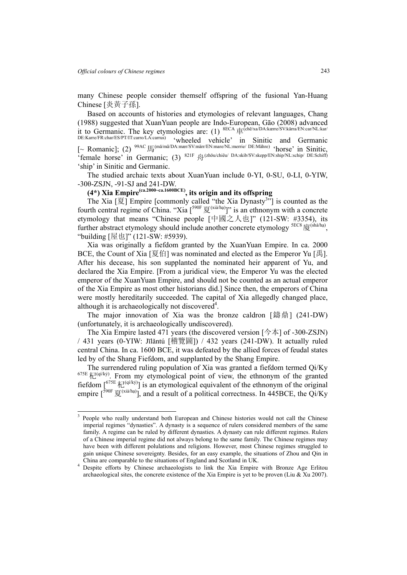$\overline{a}$ 

many Chinese people consider themself offspring of the fusional Yan-Huang Chinese [炎黃子孫].

Based on accounts of histories and etymologies of relevant languages, Chang (1988) suggested that XuanYuan people are Indo-European, Gāo (2008) advanced it to Germanic. The key etymologies are: (1) <sup>8ECA</sup> 車<sup>(chē/xa/DA:kærre/SV:kärra/EN:car/NL:kar/</sup>

DE:Karre/FR:char/ES/PT/IT:carro/LA:carrus) 'wheeled vehicle' in Sinitic and Germanic [~ Romanic]; (2) 99AC馬(mǎ/mã/DA:mær/SV:märr/EN:mare/NL:merrie/ DE:Mähre) 'horse' in Sinitic, 'female horse' in Germanic; (3) <sup>821F</sup>  $\frac{1}{\sqrt{2}}$ <sup>(zhōu/chiêu/ DA:skib/SV:skepp/EN:ship/NL:schip/ DE:Schiff)</sup> 'ship' in Sinitic and Germanic.

The studied archaic texts about XuanYuan include 0-YI, 0-SU, 0-LI, 0-YIW, -30θ-ZSJN, -91-SJ and 241-DW.

**(4\*) Xia Empire(ca.2000~ca.1600BCE), its origin and its offspring** 

The Xia  $[\overline{\mathcal{F}}]$  Empire [commonly called "the Xia Dynasty") is counted as the fourth central regime of China. "Xia  $\left[\right]$ <sup>590F</sup>  $\bar{g}$ <sup>(xià/hạ)</sup>]" is an ethnonym with a concrete etymology that means "Chinese people [中國之人也]" (121-SW: #3354), its further abstract etymology should include another concrete etymology <sup>SEC8</sup>廈<sup>(shà/hạ)</sup>, "building [屋也]" (121-SW: #5939).

Xia was originally a fiefdom granted by the XuanYuan Empire. In ca. 2000 BCE, the Count of Xia [夏伯] was nominated and elected as the Emperor Yu [禹]. After his decease, his son supplanted the nominated heir apparent of Yu, and declared the Xia Empire. [From a juridical view, the Emperor Yu was the elected emperor of the XuanYuan Empire, and should not be counted as an actual emperor of the Xia Empire as most other historians did.] Since then, the emperors of China were mostly hereditarily succeeded. The capital of Xia allegedly changed place, although it is archaeologically not discovered<sup>4</sup>.

The major innovation of Xia was the bronze caldron [鑄鼎] (241-DW) (unfortunately, it is archaeologically undiscovered).

The Xia Empire lasted 471 years (the discovered version [今本] of -30θ-ZSJN) / 431 years (0-YIW: Jīlǎntú [稽覽圖]) / 432 years (241-DW). It actually ruled central China. In ca. 1600 BCE, it was defeated by the allied forces of feudal states led by of the Shang Fiefdom, and supplanted by the Shang Empire.

The surrendered ruling population of Xia was granted a fiefdom termed Qi/Ky  $675E$   $kT^{(q}/ky)$ . From my etymological point of view, the ethnonym of the granted fiefdom  $[675E \nmid \frac{1}{2}$  (q<sup>i/kỷ)</sup>] is an etymological equivalent of the ethnonym of the original empire  $\left[\right]$ <sup>590F</sup>  $\bar{g}$ <sup>(xià/hạ)</sup>], and a result of a political correctness. In 445BCE, the Qi/Ky

<sup>3</sup> People who really understand both European and Chinese histories would not call the Chinese imperial regimes "dynasties". A dynasty is a sequence of rulers considered members of the same family. A regime can be ruled by different dynasties. A dynasty can rule different regimes. Rulers of a Chinese imperial regime did not always belong to the same family. The Chinese regimes may have been with different polulations and religions. However, most Chinese regimes struggled to gain unique Chinese sovereignty. Besides, for an easy example, the situations of Zhou and Qin in China are comparable to the situations of England and Scotland in UK. 4

Despite efforts by Chinese archaeologists to link the Xia Empire with Bronze Age Erlitou archaeological sites, the concrete existence of the Xia Empire is yet to be proven (Liu & Xu 2007).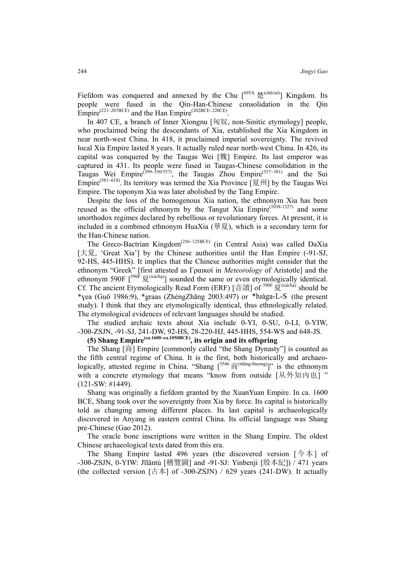Fiefdom was conquered and annexed by the Chu  $\left[ \frac{695A}{\frac{1}{100}} \right]$  Kingdom. Its people were fused in the Qin-Han-Chinese consolidation in the Qin Empire<sup>(221~207BCE)</sup> and the Han Empire<sup>(202BCE~220CE)</sup>.

In 407 CE, a branch of Inner Xiongnu [匈奴, non-Sinitic etymology] people, who proclaimed being the descendants of Xia, established the Xia Kingdom in near north-west China. In 418, it proclaimed imperial sovereignty. The revived local Xia Empire lasted 8 years. It actually ruled near north-west China. In 426, its capital was conquered by the Taugas Wei [魏] Empire. Its last emperor was captured in 431. Its people were fused in Taugas-Chinese consolidation in the Taugas Wei Empire<sup>(399~550/557)</sup>, the Taugas Zhou Empire<sup>(557~581)</sup> and the Sui Empire<sup>(581~618)</sup>. Its territory was termed the Xia Province [夏州] by the Taugas Wei Empire. The toponym Xia was later abolished by the Tang Empire.

Despite the loss of the homogenous Xia nation, the ethnonym Xia has been reused as the official ethnonym by the Tangut Xia  $Empire^{(1038-1227)}$  and some unorthodox regimes declared by rebellious or revolutionary forces. At present, it is included in a combined ethnonym HuaXia (華夏), which is a secondary term for the Han-Chinese nation.

The Greco-Bactrian Kingdom<sup>(256~125BCE)</sup> (in Central Asia) was called DaXia [大夏, 'Great Xia'] by the Chinese authorities until the Han Empire (-91-SJ, 92-HS, 445-HHS). It implies that the Chinese authorities might consider that the ethnonym "Greek" [first attested as Γραικοί in *Meteorology* of Aristotle] and the ethnonym 590F  $\left[\frac{590\bar{F}}{500\sqrt{2}}\right]$  sounded the same or even etymologically identical. Cf. The ancient Etymologically Read Form (ERF) [音讀] of  $^{590F}$ 夏<sup>(xià/hạ)</sup> should be \*yea (Guō 1986:9), \*graas (ZhèngZhāng 2003:497) or \*huaga-L-S (the present study). I think that they are etymologically identical, thus ethnologically related. The etymological evidences of relevant languages should be studied.

The studied archaic texts about Xia include 0-YI, 0-SU, 0-LI, 0-YIW, -30θ-ZSJN, -91-SJ, 241-DW, 92-HS, 28-220-HJ, 445-HHS, 554-WS and 648-JS.

### **(5) Shang Empire(ca.1600~ca.1050BCE), its origin and its offspring**

The Shang [商] Empire [commonly called "the Shang Dynasty"] is counted as the fifth central regime of China. It is the first, both historically and archaeologically, attested regime in China. "Shang  $\lceil^{5546} \mathbb{\hat{E}}^{(\text{shång/thương})\rceil"$  is the ethnonym with a concrete etymology that means "know from outside [从外知内也] " (121-SW: #1449).

Shang was originally a fiefdom granted by the XuanYuan Empire. In ca. 1600 BCE, Shang took over the sovereignty from Xia by force. Its capital is historically told as changing among different places. Its last capital is archaeologically discovered in Anyang in eastern central China. Its official language was Shang pre-Chinese (Gao 2012).

The oracle bone inscriptions were written in the Shang Empire. The oldest Chinese archaeological texts dated from this era.

The Shang Empire lasted 496 years (the discovered version  $\lceil \frac{A}{2} \cdot \frac{A}{2} \rceil$  of -30θ-ZSJN, 0-YIW: Jīlǎntú [稽覽圖] and -91-SJ: Yinbenji [殷本紀]) / 471 years (the collected version  $[\pm \pm \infty]$  of -300-ZSJN) / 629 years (241-DW). It actually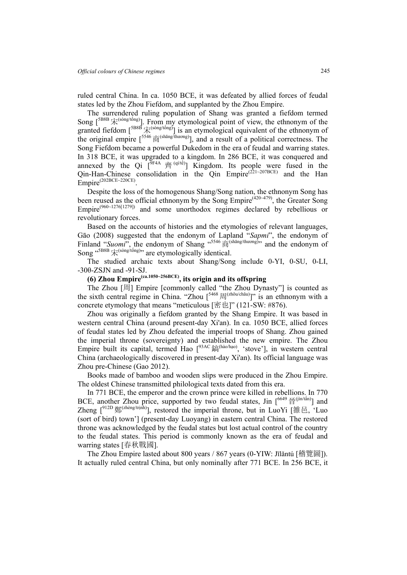ruled central China. In ca. 1050 BCE, it was defeated by allied forces of feudal states led by the Zhou Fiefdom, and supplanted by the Zhou Empire.

The surrendered ruling population of Shang was granted a fiefdom termed Song  $[5B8B \hat{K}^{(\text{song/tông})}]$ . From my etymological point of view, the ethnonym of the granted fiefdom  $[<sup>5B8B</sup>  $\hat{\mathcal{K}}^{(s\text{ong}/t\text{ong})}]$  is an etymological equivalent of the ethnonym of$ the original empire  $\left[\right]^{5546}$   $\overline{\widehat{F}}$  (shāng/thương)], and a result of a political correctness. The Song Fiefdom became a powerful Dukedom in the era of feudal and warring states. In 318 BCE, it was upgraded to a kingdom. In 286 BCE, it was conquered and annexed by the Qi  $\int_{0}^{\sqrt{9}F4A} \hat{\mathbb{A}}^{(q/te)}$  Kingdom. Its people were fused in the Qin-Han-Chinese consolidation in the Qin Empire<sup>(221~207BCE)</sup> and the Han Empire<sup>(202BCE~220CE)</sup>

Despite the loss of the homogenous Shang/Song nation, the ethnonym Song has been reused as the official ethnonym by the Song  $Empire^{(420-479)}$ , the Greater Song Empire<sup>(960~1276[1279])</sup> and some unorthodox regimes declared by rebellious or revolutionary forces.

Based on the accounts of histories and the etymologies of relevant languages, Gāo (2008) suggested that the endonym of Lapland "*Sapmi*", the endonym of Finland "*Suomi*", the endonym of Shang  $(5546 \vec{\text{m}})^{(\text{shång/through})}$  and the endonym of  $\text{Song }^{\text{65BB}}\hat{\mathcal{R}}^{\text{(song/top)}}$  are etymologically identical.

The studied archaic texts about Shang/Song include 0-YI, 0-SU, 0-LI, -30θ-ZSJN and -91-SJ.

# **(6) Zhou Empire(ca.1050~256BCE), its origin and its offspring**

The Zhou [周] Empire [commonly called "the Zhou Dynasty"] is counted as the sixth central regime in China. "Zhou  $[5468 \text{ H}^{(zh\tilde{\omega}u\text{c}h\tilde{a}u)}]$ " is an ethnonym with a concrete etymology that means "meticulous [密也]" (121-SW: #876).

Zhou was originally a fiefdom granted by the Shang Empire. It was based in western central China (around present-day Xi'an). In ca. 1050 BCE, allied forces of feudal states led by Zhou defeated the imperial troops of Shang. Zhou gained the imperial throne (sovereignty) and established the new empire. The Zhou Empire built its capital, termed Hao  $\int^{93AC} \hat{m}^{(h\hat{a}o/h\hat{a}o)}$ , 'stove'], in western central China (archaeologically discovered in present-day Xi'an). Its official language was Zhou pre-Chinese (Gao 2012).

Books made of bamboo and wooden slips were produced in the Zhou Empire. The oldest Chinese transmitted philological texts dated from this era.

In 771 BCE, the emperor and the crown prince were killed in rebellions. In 770 BCE, another Zhou price, supported by two feudal states, Jin  $\lceil 6649 \frac{26}{12} (j \ln/(\hat{a}n)) \rceil$  and  $Z$ heng  $\int^{\frac{2}{3}}$   $\ddot{\mathbb{E}}$  (zhèng/trịnh)], restored the imperial throne, but in LuoYi [雒邑, 'Luo (sort of bird) town'] (present-day Luoyang) in eastern central China. The restored throne was acknowledged by the feudal states but lost actual control of the country to the feudal states. This period is commonly known as the era of feudal and warring states [春秋戰國].

The Zhou Empire lasted about 800 years / 867 years (0-YIW: Jīlǎntú [稽覽圖]). It actually ruled central China, but only nominally after 771 BCE. In 256 BCE, it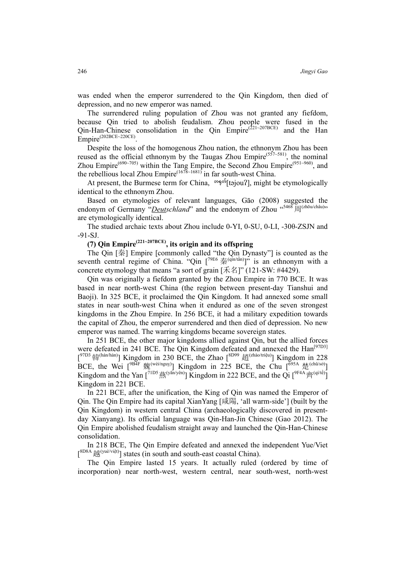was ended when the emperor surrendered to the Qin Kingdom, then died of depression, and no new emperor was named.

The surrendered ruling population of Zhou was not granted any fiefdom, because Qin tried to abolish feudalism. Zhou people were fused in the Qin-Han-Chinese consolidation in the Qin Empire<sup>(221~207BCE)</sup> and the Han Empire<sup>(202BCE~220CE)</sup>.

Despite the loss of the homogenous Zhou nation, the ethnonym Zhou has been reused as the official ethnonym by the Taugas Zhou Empire<sup>(557~581)</sup>, the nominal Zhou Empire<sup>(690~705)</sup> within the Tang Empire, the Second Zhou Empire<sup>(951~960)</sup>, and the rebellious local Zhou Empire<sup>(1678~1681)</sup> in far south-west China.

At present, the Burmese term for China,  $\exp\{\frac{\lambda}{2}t\}$  (tajou?), might be etymologically identical to the ethnonym Zhou.

Based on etymologies of relevant languages, Gāo (2008) suggested the endonym of Germany "*Deutschland*" and the endonym of Zhou "5468 周(zhōu/châu)") are etymologically identical.

The studied archaic texts about Zhou include 0-YI, 0-SU, 0-LI, -30θ-ZSJN and -91-SJ.

## **(7) Qin Empire(221~207BCE), its origin and its offspring**

The Qin [秦] Empire [commonly called "the Qin Dynasty"] is counted as the seventh central regime of China. "Qin  $\left[7^{79E6} \right]$   $\overline{\mathcal{R}}^{(qin/tân)}$ " is an ethnonym with a concrete etymology that means "a sort of grain [禾名]" (121-SW: #4429).

Qin was originally a fiefdom granted by the Zhou Empire in 770 BCE. It was based in near north-west China (the region between present-day Tianshui and Baoji). In 325 BCE, it proclaimed the Qin Kingdom. It had annexed some small states in near south-west China when it endured as one of the seven strongest kingdoms in the Zhou Empire. In 256 BCE, it had a military expedition towards the capital of Zhou, the emperor surrendered and then died of depression. No new emperor was named. The warring kingdoms became sovereign states.

In 251 BCE, the other major kingdoms allied against Qin, but the allied forces were defeated in 241 BCE. The Qin Kingdom defeated and annexed the Han<sup>[97D3]</sup>  $[10^{7D3}$  韓<sup>(hán/hàn)</sup>] Kingdom in 230 BCE, the Zhao  $[8D99 \text{ H}^{(2h\text{ao/tri}})]$  Kingdom in 228 BCE, the Wei  $\left[ \right.$ <sup>9B4F</sup> 魏<sup>(wèi/nguỵ)</sup>] Kingdom in 225 BCE, the Chu  $\left[ \right.$ <sup>695A</sup> 楚<sup>(chǔ/sở)</sup>] Kingdom and the Yan  $\left[7^{1D5}\ddot{\mathbb{R}}^{(\text{yan/yen})}\right]$  Kingdom in 222 BCE, and the Qi  $\left[9^{FAA}\dot{\mathbb{R}}^{(\text{qi/te})}\right]$ Kingdom in 221 BCE.

In 221 BCE, after the unification, the King of Qin was named the Emperor of Qin. The Qin Empire had its capital XianYang [咸陽, 'all warm-side'] (built by the Qin Kingdom) in western central China (archaeologically discovered in presentday Xianyang). Its official language was Qin-Han-Jin Chinese (Gao 2012). The Qin Empire abolished feudalism straight away and launched the Qin-Han-Chinese consolidation.

In 218 BCE, The Qin Empire defeated and annexed the independent Yue/Viet  $\left[\right]$ <sup>8D8A</sup> $\left[\right]$ (yuè/việt)] states (in south and south-east coastal China).

The Qin Empire lasted 15 years. It actually ruled (ordered by time of incorporation) near north-west, western central, near south-west, north-west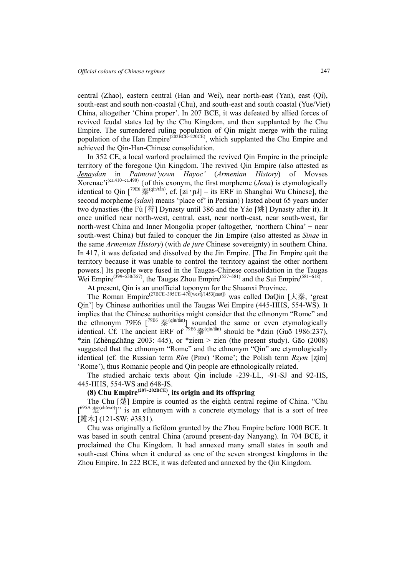central (Zhao), eastern central (Han and Wei), near north-east (Yan), east (Qi), south-east and south non-coastal (Chu), and south-east and south coastal (Yue/Viet) China, altogether 'China proper'. In 207 BCE, it was defeated by allied forces of revived feudal states led by the Chu Kingdom, and then supplanted by the Chu Empire. The surrendered ruling population of Qin might merge with the ruling population of the Han Empire<sup>(202BCE~220CE)</sup>, which supplanted the Chu Empire and achieved the Qin-Han-Chinese consolidation.

In 352 CE, a local warlord proclaimed the revived Qin Empire in the principle territory of the foregone Qin Kingdom. The revived Qin Empire (also attested as *Jenasdan* in *Patmowt'yown Hayoc'* (*Armenian History*) of Movses Xorenac'i(ca.410~ca.490) {of this exonym, the first morpheme (*Jena*) is etymologically identical to Qin  $\int^{\gamma 9E6} \frac{1}{\phi}$  (qin/tân), cf. [zi · p.] – its ERF in Shanghai Wu Chinese], the second morpheme (*sdan*) means 'place of' in Persian}) lasted about 65 years under two dynasties (the Fù [符] Dynasty until 386 and the Yáo [姚] Dynasty after it). It once unified near north-west, central, east, near north-east, near south-west, far north-west China and Inner Mongolia proper (altogether, 'northern China' + near south-west China) but failed to conquer the Jin Empire (also attested as *Sinae* in the same *Armenian History*) (with *de jure* Chinese sovereignty) in southern China. In 417, it was defeated and dissolved by the Jin Empire. [The Jin Empire quit the territory because it was unable to control the territory against the other northern powers.] Its people were fused in the Taugas-Chinese consolidation in the Taugas Wei Empire<sup>(399~550/557)</sup>, the Taugas Zhou Empire<sup>(557~581)</sup> and the Sui Empire<sup>(581~618)</sup>.

At present, Qin is an unofficial toponym for the Shaanxi Province.

The Roman Empire<sup>(27BCE~395CE~476[west]/1453[east])</sup> was called DaQin [大秦, 'great Qin'] by Chinese authorities until the Taugas Wei Empire (445-HHS, 554-WS). It implies that the Chinese authorities might consider that the ethnonym "Rome" and the ethnonym 79E6  $\left[\right]^{79E6}$   $\frac{1}{5}$  (qin/tần) sounded the same or even etymologically identical. Cf. The ancient ERF of  $\frac{79E6}{5}$   $\frac{1}{56}$  (qin/tần) should be \*dzin (Guō 1986:237), \*zin (ZhèngZhāng 2003: 445), or \*ziem > zien (the present study). Gāo (2008) suggested that the ethnonym "Rome" and the ethnonym "Qin" are etymologically identical (cf. the Russian term *Rim* (Рим) 'Rome'; the Polish term *Rzym* [zim] 'Rome'), thus Romanic people and Qin people are ethnologically related.

The studied archaic texts about Qin include -239-LL, -91-SJ and 92-HS, 445-HHS, 554-WS and 648-JS.

## **(8) Chu Empire(207~202BCE), its origin and its offspring**

The Chu [楚] Empire is counted as the eighth central regime of China. "Chu  $[695A \frac{4}{\sqrt{2}}$ (chǔ/sở)]" is an ethnonym with a concrete etymology that is a sort of tree [叢木] (121-SW: #3831).

Chu was originally a fiefdom granted by the Zhou Empire before 1000 BCE. It was based in south central China (around present-day Nanyang). In 704 BCE, it proclaimed the Chu Kingdom. It had annexed many small states in south and south-east China when it endured as one of the seven strongest kingdoms in the Zhou Empire. In 222 BCE, it was defeated and annexed by the Qin Kingdom.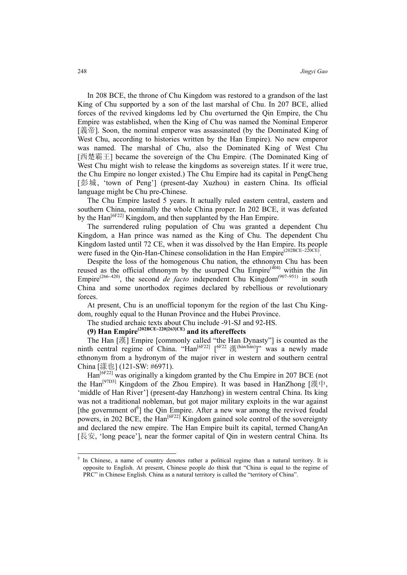In 208 BCE, the throne of Chu Kingdom was restored to a grandson of the last King of Chu supported by a son of the last marshal of Chu. In 207 BCE, allied forces of the revived kingdoms led by Chu overturned the Qin Empire, the Chu Empire was established, when the King of Chu was named the Nominal Emperor [義帝]. Soon, the nominal emperor was assassinated (by the Dominated King of West Chu, according to histories written by the Han Empire). No new emperor was named. The marshal of Chu, also the Dominated King of West Chu [西楚霸王] became the sovereign of the Chu Empire. (The Dominated King of West Chu might wish to release the kingdoms as sovereign states. If it were true, the Chu Empire no longer existed.) The Chu Empire had its capital in PengCheng [彭城, 'town of Peng'] (present-day Xuzhou) in eastern China. Its official language might be Chu pre-Chinese.

The Chu Empire lasted 5 years. It actually ruled eastern central, eastern and southern China, nominally the whole China proper. In 202 BCE, it was defeated by the  $\text{Han}^{\text{[6F22]}}$  Kingdom, and then supplanted by the Han Empire.

The surrendered ruling population of Chu was granted a dependent Chu Kingdom, a Han prince was named as the King of Chu. The dependent Chu Kingdom lasted until 72 CE, when it was dissolved by the Han Empire. Its people were fused in the Qin-Han-Chinese consolidation in the Han Empire<sup>(202BCE~220CE)</sup>

Despite the loss of the homogenous Chu nation, the ethnonym Chu has been reused as the official ethnonym by the usurped Chu Empire<sup> $(404)$ </sup> within the Jin Empire<sup>(266-420)</sup>, the second *de facto* independent Chu Kingdom<sup>(907-951)</sup> in south China and some unorthodox regimes declared by rebellious or revolutionary forces.

At present, Chu is an unofficial toponym for the region of the last Chu Kingdom, roughly equal to the Hunan Province and the Hubei Province.

The studied archaic texts about Chu include -91-SJ and 92-HS.

**(9) Han Empire(202BCE~220[263]CE) and its aftereffects**

The Han [漢] Empire [commonly called "the Han Dynasty"] is counted as the ninth central regime of China. "Han<sup>[6F22]</sup>  $[6F^{22}]$   $(6F^{22})$   $(6F^{22})$   $(6F^{22})$  was a newly made ethnonym from a hydronym of the major river in western and southern central China [漾也] (121-SW: #6971).

Han<sup>[6F22]</sup> was originally a kingdom granted by the Chu Empire in 207 BCE (not the Han[97D3] Kingdom of the Zhou Empire). It was based in HanZhong [漢中, 'middle of Han River'] (present-day Hanzhong) in western central China. Its king was not a traditional nobleman, but got major military exploits in the war against [the government of<sup>5</sup>] the Qin Empire. After a new war among the revived feudal powers, in 202 BCE, the  $\text{Han}^{\left[\text{6F22}\right]}$  Kingdom gained sole control of the sovereignty and declared the new empire. The Han Empire built its capital, termed ChangAn [長安, 'long peace'], near the former capital of Qin in western central China. Its

<sup>&</sup>lt;sup>5</sup> In Chinese, a name of country denotes rather a political regime than a natural territory. It is opposite to English. At present, Chinese people do think that "China is equal to the regime of PRC" in Chinese English. China as a natural territory is called the "territory of China".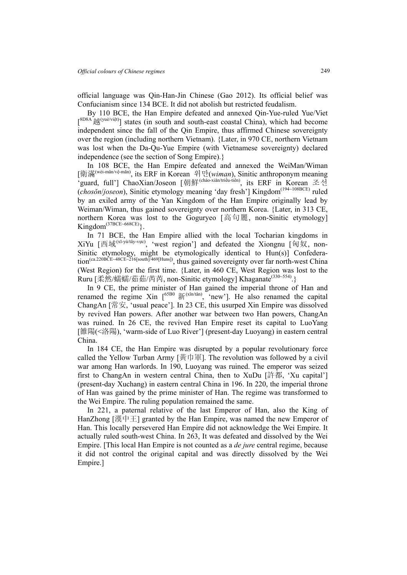official language was Qin-Han-Jin Chinese (Gao 2012). Its official belief was Confucianism since 134 BCE. It did not abolish but restricted feudalism.

By 110 BCE, the Han Empire defeated and annexed Qin-Yue-ruled Yue/Viet  $[8D8A \text{ i}^{8D8A} \text{ i}^{(yu\text{e})\text{vi}\text{e}t]}$  states (in south and south-east coastal China), which had become independent since the fall of the Qin Empire, thus affirmed Chinese sovereignty over the region (including northern Vietnam). {Later, in 970 CE, northern Vietnam was lost when the Da-Qu-Yue Empire (with Vietnamese sovereignty) declared independence (see the section of Song Empire).}

In 108 BCE, the Han Empire defeated and annexed the WeiMan/Wiman [衛滿(wèi-mǎn/vệ-mãn), its ERF in Korean 위만(*wiman*), Sinitic anthroponym meaning 'guard, full'] ChaoXian/Joseon [朝鮮(cháo-xiǎn/triều-tiên), its ERF in Korean 조선 (*chosŏn*/*joseon*), Sinitic etymology meaning 'day fresh'] Kingdom(194~108BCE) ruled by an exiled army of the Yan Kingdom of the Han Empire originally lead by Weiman/Wiman, thus gained sovereignty over northern Korea. {Later, in 313 CE, northern Korea was lost to the Goguryeo [高句麗, non-Sinitic etymology]  $Kingdom<sup>(37BCE-668CE)</sup>$ 

In 71 BCE, the Han Empire allied with the local Tocharian kingdoms in XiYu  $[\text{m} \mathbb{E}^{(x_1-y_0)/t\hat{a}y-v\mu c}]$ , 'west region'] and defeated the Xiongnu  $[\text{m} \mathbb{E}^{(x_1-y_0)/t\hat{a}y-v\mu c}]$ Sinitic etymology, might be etymologically identical to Hun(s)] Confederation<sup>(ca.220BCE~48CE~216[south]<sup>/469[Huns])</sup>, thus gained sovereignty over far north-west China</sup> (West Region) for the first time. {Later, in 460 CE, West Region was lost to the Ruru [柔然/蠕蠕/茹茹/芮芮, non-Sinitic etymology] Khaganate<sup>(330~554)</sup>.}

In 9 CE, the prime minister of Han gained the imperial throne of Han and renamed the regime Xin  $1^{65B0}$   $\frac{25}{21}$  (x $\frac{25B}{21}$  arew']. He also renamed the capital ChangAn [常安, 'usual peace']. In 23 CE, this usurped Xin Empire was dissolved by revived Han powers. After another war between two Han powers, ChangAn was ruined. In 26 CE, the revived Han Empire reset its capital to LuoYang [雒陽(<洛陽), 'warm-side of Luo River'] (present-day Luoyang) in eastern central China.

In 184 CE, the Han Empire was disrupted by a popular revolutionary force called the Yellow Turban Army [黄巾軍]. The revolution was followed by a civil war among Han warlords. In 190, Luoyang was ruined. The emperor was seized first to ChangAn in western central China, then to XuDu [許都, 'Xu capital'] (present-day Xuchang) in eastern central China in 196. In 220, the imperial throne of Han was gained by the prime minister of Han. The regime was transformed to the Wei Empire. The ruling population remained the same.

In 221, a paternal relative of the last Emperor of Han, also the King of HanZhong [漢中王] granted by the Han Empire, was named the new Emperor of Han. This locally persevered Han Empire did not acknowledge the Wei Empire. It actually ruled south-west China. In 263, It was defeated and dissolved by the Wei Empire. [This local Han Empire is not counted as a *de jure* central regime, because it did not control the original capital and was directly dissolved by the Wei Empire.]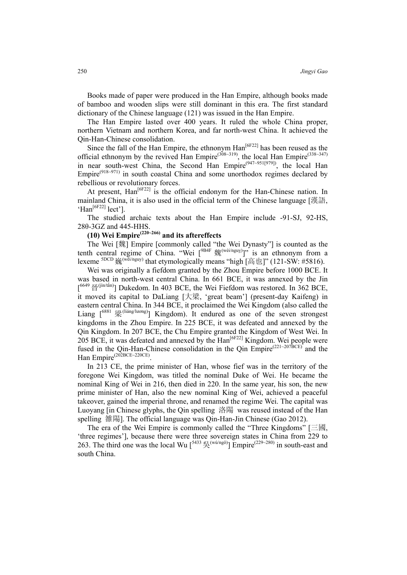Books made of paper were produced in the Han Empire, although books made of bamboo and wooden slips were still dominant in this era. The first standard dictionary of the Chinese language (121) was issued in the Han Empire.

The Han Empire lasted over 400 years. It ruled the whole China proper, northern Vietnam and northern Korea, and far north-west China. It achieved the Qin-Han-Chinese consolidation.

Since the fall of the Han Empire, the ethnonym  $\text{Han}^{[6F22]}$  has been reused as the official ethnonym by the revived Han Empire<sup>(308~319)</sup>, the local Han Empire<sup>(338~347)</sup> in near south-west China, the Second Han Empire<sup>(947~951[979]</sup>), the local Han  $Empire^{(918-971)}$  in south coastal China and some unorthodox regimes declared by rebellious or revolutionary forces.

At present,  $\text{Han}^{\left[\text{6F22}\right]}$  is the official endonym for the Han-Chinese nation. In mainland China, it is also used in the official term of the Chinese language [漢語, 'Han[6F22] lect'].

The studied archaic texts about the Han Empire include -91-SJ, 92-HS, 28θ-3GZ and 445-HHS.

## **(10) Wei Empire(220~266) and its aftereffects**

The Wei [魏] Empire [commonly called "the Wei Dynasty"] is counted as the tenth central regime of China. "Wei  $[{}^{9B4F} \; \mathcal{H}^{(wei/nguy)}]$ " is an ethnonym from a lexeme  ${}^{5DCD}$  巍<sup>(wēi/nguy)</sup> that etymologically means "high [高也]" (121-SW: #5816).

Wei was originally a fiefdom granted by the Zhou Empire before 1000 BCE. It was based in north-west central China. In 661 BCE, it was annexed by the Jin  $[6649 \frac{\text{H}}{\text{H}}^{(jin/tán)}]$  Dukedom. In 403 BCE, the Wei Fiefdom was restored. In 362 BCE, it moved its capital to DaLiang [大梁, 'great beam'] (present-day Kaifeng) in eastern central China. In 344 BCE, it proclaimed the Wei Kingdom (also called the Liang  $[6881 \n\mathbb{R}^{(\text{liáng/lương})}]$  Kingdom). It endured as one of the seven strongest kingdoms in the Zhou Empire. In 225 BCE, it was defeated and annexed by the Qin Kingdom. In 207 BCE, the Chu Empire granted the Kingdom of West Wei. In 205 BCE, it was defeated and annexed by the  $\text{Han}^{[6F22]}$  Kingdom. Wei people were fused in the Qin-Han-Chinese consolidation in the Qin Empire<sup>(221~207BCE)</sup> and the Han Empire<sup>(202BCE~220CE)</sup>.

In 213 CE, the prime minister of Han, whose fief was in the territory of the foregone Wei Kingdom, was titled the nominal Duke of Wei. He became the nominal King of Wei in 216, then died in 220. In the same year, his son, the new prime minister of Han, also the new nominal King of Wei, achieved a peaceful takeover, gained the imperial throne, and renamed the regime Wei. The capital was Luoyang [in Chinese glyphs, the Qin spelling 洛陽 was reused instead of the Han spelling 雒陽]. The official language was Qin-Han-Jin Chinese (Gao 2012).

The era of the Wei Empire is commonly called the "Three Kingdoms" [三國, 'three regimes'], because there were three sovereign states in China from 229 to 263. The third one was the local Wu  $\int^{5433} \frac{1}{2} \left( \frac{w \hat{u} \cdot \hat{n}}{n} \right)^3$  Empire<sup>(229~280)</sup> in south-east and south China.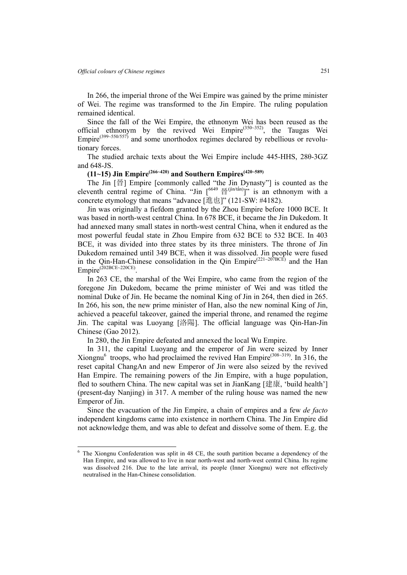$\overline{a}$ 

In 266, the imperial throne of the Wei Empire was gained by the prime minister of Wei. The regime was transformed to the Jin Empire. The ruling population remained identical.

Since the fall of the Wei Empire, the ethnonym Wei has been reused as the official ethnonym by the revived Wei Empire<sup>(350~352)</sup>, the Taugas Wei Empire<sup>(399~550/557)</sup> and some unorthodox regimes declared by rebellious or revolutionary forces.

The studied archaic texts about the Wei Empire include 445-HHS, 28θ-3GZ and 648-JS.

### **(11~15) Jin Empire(266~420) and Southern Empires(420~589)**

The Jin [晉] Empire [commonly called "the Jin Dynasty"] is counted as the eleventh central regime of China. "Jin  $[6649 \frac{\text{H}}{\text{B}}^{(jin/(tan))}]$ " is an ethnonym with a concrete etymology that means "advance [進也]" (121-SW: #4182).

Jin was originally a fiefdom granted by the Zhou Empire before 1000 BCE. It was based in north-west central China. In 678 BCE, it became the Jin Dukedom. It had annexed many small states in north-west central China, when it endured as the most powerful feudal state in Zhou Empire from 632 BCE to 532 BCE. In 403 BCE, it was divided into three states by its three ministers. The throne of Jin Dukedom remained until 349 BCE, when it was dissolved. Jin people were fused in the Qin-Han-Chinese consolidation in the Qin Empire<sup>(221~207BCE)</sup> and the Han Empire<sup>(202BCE~220CE)</sup>

In 263 CE, the marshal of the Wei Empire, who came from the region of the foregone Jin Dukedom, became the prime minister of Wei and was titled the nominal Duke of Jin. He became the nominal King of Jin in 264, then died in 265. In 266, his son, the new prime minister of Han, also the new nominal King of Jin, achieved a peaceful takeover, gained the imperial throne, and renamed the regime Jin. The capital was Luoyang [洛陽]. The official language was Qin-Han-Jin Chinese (Gao 2012).

In 280, the Jin Empire defeated and annexed the local Wu Empire.

In 311, the capital Luoyang and the emperor of Jin were seized by Inner Xiongnu<sup>6</sup> troops, who had proclaimed the revived Han Empire<sup>(308~319)</sup>. In 316, the reset capital ChangAn and new Emperor of Jin were also seized by the revived Han Empire. The remaining powers of the Jin Empire, with a huge population, fled to southern China. The new capital was set in JianKang [建康, 'build health'] (present-day Nanjing) in 317. A member of the ruling house was named the new Emperor of Jin.

Since the evacuation of the Jin Empire, a chain of empires and a few *de facto*  independent kingdoms came into existence in northern China. The Jin Empire did not acknowledge them, and was able to defeat and dissolve some of them. E.g. the

<sup>6</sup> The Xiongnu Confederation was split in 48 CE, the south partition became a dependency of the Han Empire, and was allowed to live in near north-west and north-west central China. Its regime was dissolved 216. Due to the late arrival, its people (Inner Xiongnu) were not effectively neutralised in the Han-Chinese consolidation.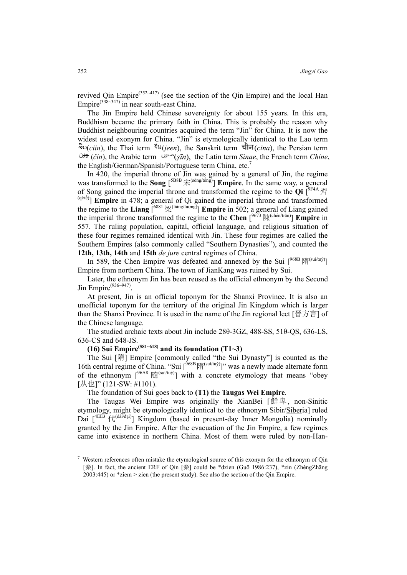revived Oin Empire<sup>(352~417)</sup> (see the section of the Oin Empire) and the local Han Empire<sup>(338~347)</sup> in near south-east China.

The Jin Empire held Chinese sovereignty for about 155 years. In this era, Buddhism became the primary faith in China. This is probably the reason why Buddhist neighbouring countries acquired the term "Jin" for China. It is now the widest used exonym for China. "Jin" is etymologically identical to the Lao term  $\partial^2 w(c^{i\pi})$ , the Thai term  $\partial^2 w(c^{i\pi})$ , the Sanskrit term  $\partial^2 w(c^{i\pi})$ , the Persian term  $(\check{c}$ *in*), the Arabic term  $(\check{s}\bar{m})$ , the Latin term *Sinae*, the French term *Chine*, the English/German/Spanish/Portuguese term China, etc.<sup>7</sup>

In 420, the imperial throne of Jin was gained by a general of Jin, the regime was transformed to the **Song**  $[5^{BBB} \nexists \xi^{(sing/t\delta ng)}]$  **Empire**. In the same way, a general of Song gained the imperial throne and transformed the regime to the **Qi** [ 9F4A齊  $\left(\frac{q(t)}{t}\right)$  **Empire** in 478; a general of Qi gained the imperial throne and transformed the regime to the **Liang**  $\left[\frac{6881}{\frac{1}{K}}\right]$  (liáng/lương) **Empire** in 502; a general of Liang gained the imperial throne transformed the regime to the **Chen**  $\int_{0}^{9673}$  [# $\left(\frac{\text{chén/trần}}{\text{chern/trần}}\right)$ ] **Empire** in 557. The ruling population, capital, official language, and religious situation of these four regimes remained identical with Jin. These four regimes are called the Southern Empires (also commonly called "Southern Dynasties"), and counted the **12th, 13th, 14th** and **15th** *de jure* central regimes of China.

In 589, the Chen Empire was defeated and annexed by the Sui  $\int^{\frac{968B}{5}} |\mathfrak{F}|^{(\text{suit/tu}y)}$ Empire from northern China. The town of JianKang was ruined by Sui.

Later, the ethnonym Jin has been reused as the official ethnonym by the Second Jin Empire<sup>(936~947)</sup>

At present, Jin is an official toponym for the Shanxi Province. It is also an unofficial toponym for the territory of the original Jin Kingdom which is larger than the Shanxi Province. It is used in the name of the Jin regional lect [晉方言] of the Chinese language.

The studied archaic texts about Jin include 28θ-3GZ, 488-SS, 51θ-QS, 636-LS, 636-CS and 648-JS.

# $(16)$  Sui Empire<sup>(581~618)</sup> and its foundation  $(T1~3)$

The Sui [隋] Empire [commonly called "the Sui Dynasty"] is counted as the 16th central regime of China. "Sui  $\int^{\delta 68B} |\hat{f}|^{(\text{snif/tuy})}$ " was a newly made alternate form of the ethnonym  $[<sup>96A8</sup>$   $\frac{165}(\sin(i\pi y))$  with a concrete etymology that means "obey [从也]" (121-SW: #1101).

The foundation of Sui goes back to **(T1)** the **Taugas Wei Empire**.

The Taugas Wei Empire was originally the XianBei [鮮卑, non-Sinitic etymology, might be etymologically identical to the ethnonym Sibir/Siberia] ruled Dai  $[4EE3 \nmid \text{R}^{(d\text{d}a/d\text{a}i)}]$  Kingdom (based in present-day Inner Mongolia) nominally granted by the Jin Empire. After the evacuation of the Jin Empire, a few regimes came into existence in northern China. Most of them were ruled by non-Han-

 $\overline{a}$ 

<sup>7</sup> Western references often mistake the etymological source of this exonym for the ethnonym of Qin [秦]. In fact, the ancient ERF of Qin [秦] could be \*dzien (Guō 1986:237), \*zin (ZhèngZhāng 2003:445) or \*ziem > zien (the present study). See also the section of the Qin Empire.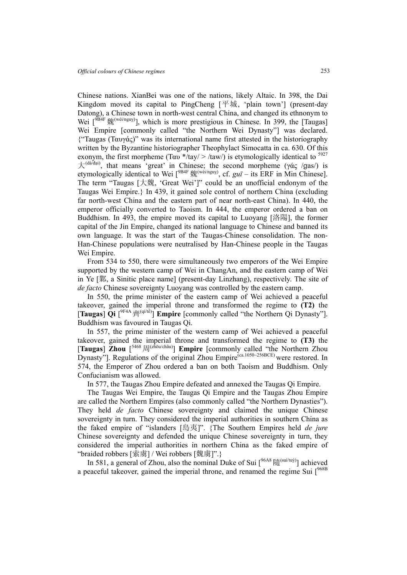Chinese nations. XianBei was one of the nations, likely Altaic. In 398, the Dai Kingdom moved its capital to PingCheng [平城, 'plain town'] (present-day Datong), a Chinese town in north-west central China, and changed its ethnonym to Wei  $\int^{\sqrt{B4F}} \frac{1}{2} \mathcal{R}^{(\text{wèi/nguy})}$ , which is more prestigious in Chinese. In 399, the [Taugas] Wei Empire [commonly called "the Northern Wei Dynasty"] was declared. {"Taugas (Ταυγάς)" was its international name first attested in the historiography written by the Byzantine historiographer Theophylact Simocatta in ca. 630. Of this exonym, the first morpheme (Tay  $*\frac{1}{4}$ tay/ >  $\frac{1}{4}$ taw/) is etymologically identical to <sup>5927</sup>  $\pm$ <sup>(dà/đại)</sup>, that means 'great' in Chinese; the second morpheme (γάς /gas/) is etymologically identical to Wei  $\int^{\text{9B4F}} \frac{1}{2} m^{(\text{weight})}$ , cf. *gu*<sup>*ī*</sup> – its ERF in Min Chinese]. The term "Taugas [大魏, 'Great Wei']" could be an unofficial endonym of the Taugas Wei Empire.} In 439, it gained sole control of northern China (excluding far north-west China and the eastern part of near north-east China). In 440, the emperor officially converted to Taoism. In 444, the emperor ordered a ban on Buddhism. In 493, the empire moved its capital to Luoyang [洛陽], the former capital of the Jin Empire, changed its national language to Chinese and banned its own language. It was the start of the Taugas-Chinese consolidation. The non-Han-Chinese populations were neutralised by Han-Chinese people in the Taugas Wei Empire.

From 534 to 550, there were simultaneously two emperors of the Wei Empire supported by the western camp of Wei in ChangAn, and the eastern camp of Wei in Ye [鄴, a Sinitic place name] (present-day Linzhang), respectively. The site of *de facto* Chinese sovereignty Luoyang was controlled by the eastern camp.

In 550, the prime minister of the eastern camp of Wei achieved a peaceful takeover, gained the imperial throne and transformed the regime to **(T2)** the [**Taugas**] **Qi**  $[$ <sup>9F4A</sup> 齊<sup>(qi/tê)</sup>] **Empire** [commonly called "the Northern Qi Dynasty"]. Buddhism was favoured in Taugas Qi.

In 557, the prime minister of the western camp of Wei achieved a peaceful takeover, gained the imperial throne and transformed the regime to **(T3)** the [Taugas]  $\overline{Z}$ hou  $\int^{5468}$   $\frac{1}{10}$  (zhōu/châu)] **Empire** [commonly called "the Northern Zhou Dynasty"]. Regulations of the original Zhou Empire<sup>(ca.1050~256BCE)</sup> were restored. In 574, the Emperor of Zhou ordered a ban on both Taoism and Buddhism. Only Confucianism was allowed.

In 577, the Taugas Zhou Empire defeated and annexed the Taugas Qi Empire.

The Taugas Wei Empire, the Taugas Qi Empire and the Taugas Zhou Empire are called the Northern Empires (also commonly called "the Northern Dynasties"). They held *de facto* Chinese sovereignty and claimed the unique Chinese sovereignty in turn. They considered the imperial authorities in southern China as the faked empire of "islanders [島夷]". {The Southern Empires held *de jure* Chinese sovereignty and defended the unique Chinese sovereignty in turn, they considered the imperial authorities in northern China as the faked empire of "braided robbers [索虜] / Wei robbers [魏虜]".}

In 581, a general of Zhou, also the nominal Duke of Sui  $\int_{0}^{96A8}$   $\delta$ g (suí/tuy) achieved a peaceful takeover, gained the imperial throne, and renamed the regime Sui  $1^{968B}$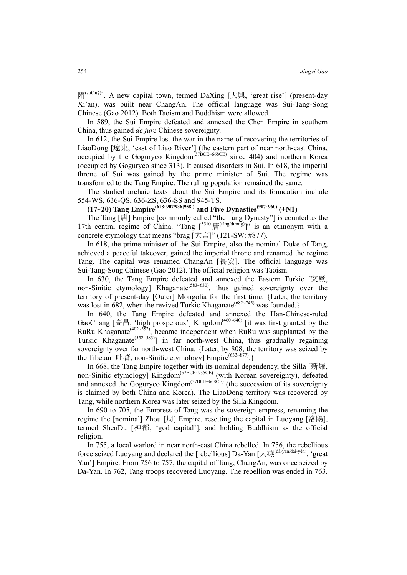隋<sup>(suí/tuỳ)</sup>]. A new capital town, termed DaXing [大興, 'great rise'] (present-day Xi'an), was built near ChangAn. The official language was Sui-Tang-Song Chinese (Gao 2012). Both Taoism and Buddhism were allowed.

In 589, the Sui Empire defeated and annexed the Chen Empire in southern China, thus gained *de jure* Chinese sovereignty.

In 612, the Sui Empire lost the war in the name of recovering the territories of LiaoDong [遼東, 'east of Liao River'] (the eastern part of near north-east China, occupied by the Goguryeo Kingdom<sup>(37BCE~668CE)</sup> since 404) and northern Korea (occupied by Goguryeo since 313). It caused disorders in Sui. In 618, the imperial throne of Sui was gained by the prime minister of Sui. The regime was transformed to the Tang Empire. The ruling population remained the same.

The studied archaic texts about the Sui Empire and its foundation include 554-WS, 636-QS, 636-ZS, 636-SS and 945-TS.

### **(17~20) Tang Empire(618~907/936[958]) and Five Dynasties(907~960) (+N1)**

The Tang [唐] Empire [commonly called "the Tang Dynasty"] is counted as the 17th central regime of China. "Tang  $[5510 \frac{1}{10}]$ " is an ethnonym with a concrete etymology that means "brag [大言]" (121-SW: #877).

In 618, the prime minister of the Sui Empire, also the nominal Duke of Tang, achieved a peaceful takeover, gained the imperial throne and renamed the regime Tang. The capital was renamed ChangAn [長安]. The official language was Sui-Tang-Song Chinese (Gao 2012). The official religion was Taoism.

In 630, the Tang Empire defeated and annexed the Eastern Turkic [突厥, non-Sinitic etymology] Khaganate<sup>(583-630</sup>), thus gained sovereignty over the territory of present-day [Outer] Mongolia for the first time. {Later, the territory was lost in  $\overrightarrow{682}$ , when the revived Turkic Khaganate<sup>( $\overrightarrow{682-745}$ )</sup> was founded.}

In 640, the Tang Empire defeated and annexed the Han-Chinese-ruled GaoChang [高昌, 'high prosperous'] Kingdom<sup>(460~640)</sup> [it was first granted by the RuRu Khaganate<sup>(402~552)</sup>, became independent when RuRu was supplanted by the Turkic Khaganate<sup>(552~583)</sup>] in far north-west China, thus gradually regaining sovereignty over far north-west China. {Later, by 808, the territory was seized by the Tibetan [吐蕃, non-Sinitic etymology] Empire<sup>(633~877)</sup>.}

In 668, the Tang Empire together with its nominal dependency, the Silla [新羅, non-Sinitic etymology] Kingdom<sup>(57BCE~935CE)</sup> (with Korean sovereignty), defeated and annexed the Goguryeo Kingdom<sup>(37BCE~668CE)</sup> (the succession of its sovereignty is claimed by both China and Korea). The LiaoDong territory was recovered by Tang, while northern Korea was later seized by the Silla Kingdom.

In 690 to 705, the Empress of Tang was the sovereign empress, renaming the regime the [nominal] Zhou [周] Empire, resetting the capital in Luoyang [洛陽], termed ShenDu [神都, 'god capital'], and holding Buddhism as the official religion.

In 755, a local warlord in near north-east China rebelled. In 756, the rebellious force seized Luoyang and declared the [rebellious] Da-Yan [大燕<sup>(dà-yān/đại-yên)</sup>, 'great Yan'] Empire. From 756 to 757, the capital of Tang, ChangAn, was once seized by Da-Yan. In 762, Tang troops recovered Luoyang. The rebellion was ended in 763.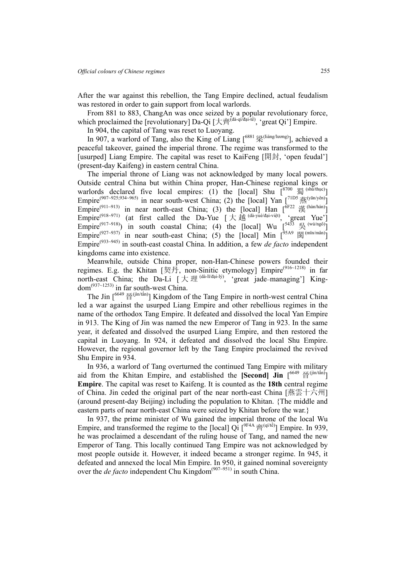After the war against this rebellion, the Tang Empire declined, actual feudalism was restored in order to gain support from local warlords.

From 881 to 883, ChangAn was once seized by a popular revolutionary force, which proclaimed the [revolutionary] Da-Qi  $[\pm \vec{A}^{\vec{a}}]^{(\vec{a} \cdot \vec{q} \cdot \vec{d} \cdot \vec{a} \cdot \vec{d} \cdot \vec{e})}$ , 'great Qi'] Empire.

In 904, the capital of Tang was reset to Luoyang.

In 907, a warlord of Tang, also the King of Liang  $\int^{\text{6881}} \frac{377}{25}$ (liáng/lương)<sub>]</sub>, achieved a peaceful takeover, gained the imperial throne. The regime was transformed to the [usurped] Liang Empire. The capital was reset to KaiFeng [開封, 'open feudal'] (present-day Kaifeng) in eastern central China.

The imperial throne of Liang was not acknowledged by many local powers. Outside central China but within China proper, Han-Chinese regional kings or warlords declared five local empires: (1) the [local] Shu  $\left[8700 \frac{\text{g}}{\text{g}}\right]$  (sh $\text{m/huc}$ ) Empire<sup>(907~925;934~965)</sup> in near south-west China; (2) the [local] Yan  $\lceil 7^{1DS} \frac{1}{100}(\frac{\pi}{100}) \rceil$ Empire<sup>(911~913)</sup> in near north-east China; (3) the [local] Han  $\left[\begin{array}{cc} \sqrt{6F22} & \frac{11}{(64n/\hbar a n)} \end{array}\right]$ Empire<sup>(918~971)</sup> (at first called the Da-Yue  $[\frac{1}{1} \pm \frac{1}{1} \frac{1}{1}$  (dà-yuè/đại-việt), 'great Yue'] Empire<sup>(917~918)</sup>) in south coastal China; (4) the [local] Wu  $\left[5433 \right]$ <sup>(wú/ngô)</sup>] Empire<sup>(927~937)</sup> in near south-east China; (5) the [local] Min  $\left[\begin{array}{cc} \n\end{array}\right]^{95A9}$   $\mathbb{H}^{\text{(min/main)}}$ ] Empire(933~945) in south-east coastal China. In addition, a few *de facto* independent kingdoms came into existence.

Meanwhile, outside China proper, non-Han-Chinese powers founded their regimes. E.g. the Khitan [契丹, non-Sinitic etymology]  $\text{Empire}^{(916-1218)}$  in far north-east China; the Da-Li  $[\text{ H} \boxplus \text{ (dd-1} \text{ i/dai-1} \text{ j})]$  'great jade-managing'] Kingdom<sup>(937~1253)</sup> in far south-west China.

The Jin  $\lceil 6649 \frac{25}{10} (j \ln/(\hat{a}n)) \rceil$  Kingdom of the Tang Empire in north-west central China led a war against the usurped Liang Empire and other rebellious regimes in the name of the orthodox Tang Empire. It defeated and dissolved the local Yan Empire in 913. The King of Jin was named the new Emperor of Tang in 923. In the same year, it defeated and dissolved the usurped Liang Empire, and then restored the capital in Luoyang. In 924, it defeated and dissolved the local Shu Empire. However, the regional governor left by the Tang Empire proclaimed the revived Shu Empire in 934.

In 936, a warlord of Tang overturned the continued Tang Empire with military aid from the Khitan Empire, and established the **[Second]** Jin  $\left[6649 \frac{\text{H}}{\text{H}}(i\text{ln}/i\text{ln})\right]$ **Empire**. The capital was reset to Kaifeng. It is counted as the **18th** central regime of China. Jin ceded the original part of the near north-east China [燕雲十六州] (around present-day Beijing) including the population to Khitan. {The middle and eastern parts of near north-east China were seized by Khitan before the war.}

In 937, the prime minister of Wu gained the imperial throne of the local Wu Empire, and transformed the regime to the [local]  $\overrightarrow{Qi}$   $[<sup>9FAA</sup> \overrightarrow{f}^{q(qit\hat{e})}]$  Empire. In 939, he was proclaimed a descendant of the ruling house of Tang, and named the new Emperor of Tang. This locally continued Tang Empire was not acknowledged by most people outside it. However, it indeed became a stronger regime. In 945, it defeated and annexed the local Min Empire. In 950, it gained nominal sovereignty over the *de facto* independent Chu Kingdom<sup>(907~951)</sup> in south China.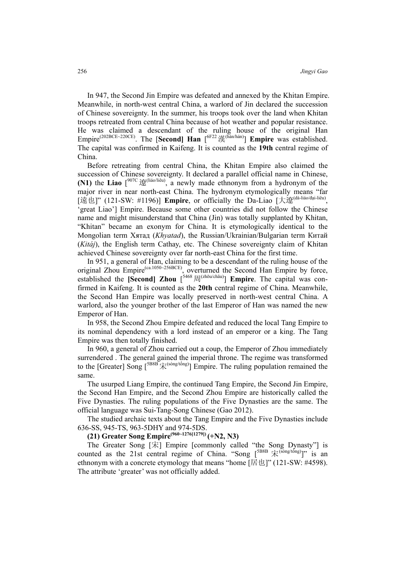In 947, the Second Jin Empire was defeated and annexed by the Khitan Empire. Meanwhile, in north-west central China, a warlord of Jin declared the succession of Chinese sovereignty. In the summer, his troops took over the land when Khitan troops retreated from central China because of hot weather and popular resistance. He was claimed a descendant of the ruling house of the original Han Empire(202BCE~220CE). The [**Second] Han** [6F22漢(hàn/hán)] **Empire** was established. The capital was confirmed in Kaifeng. It is counted as the **19th** central regime of China.

Before retreating from central China, the Khitan Empire also claimed the succession of Chinese sovereignty. It declared a parallel official name in Chinese, **(N1)** the **Liao**  $\int^{907C} \mathbf{E}^{(\text{liáo/liêu})}$ , a newly made ethnonym from a hydronym of the major river in near north-east China. The hydronym etymologically means "far [遠也]" (121-SW: #1196)] **Empire**, or officially the Da-Liao [大遼(dà-liáo/đại-liêu), 'great Liao'] Empire. Because some other countries did not follow the Chinese name and might misunderstand that China (Jin) was totally supplanted by Khitan, "Khitan" became an exonym for China. It is etymologically identical to the Mongolian term Хятад (*Khyatad*), the Russian/Ukrainian/Bulgarian term Китай (*Kitáj*), the English term Cathay, etc. The Chinese sovereignty claim of Khitan achieved Chinese sovereignty over far north-east China for the first time.

In 951, a general of Han, claiming to be a descendant of the ruling house of the original Zhou Empire<sup>(ca.1050~256BCE)</sup>, overturned the Second Han Empire by force, established the **[Second]** Zhou  $\int_{0}^{5468} |\vec{r}|^{(zh\tilde{\omega}u/ch\tilde{a}u)}|$  **Empire**. The capital was confirmed in Kaifeng. It is counted as the **20th** central regime of China. Meanwhile, the Second Han Empire was locally preserved in north-west central China. A warlord, also the younger brother of the last Emperor of Han was named the new Emperor of Han.

In 958, the Second Zhou Empire defeated and reduced the local Tang Empire to its nominal dependency with a lord instead of an emperor or a king. The Tang Empire was then totally finished.

In 960, a general of Zhou carried out a coup, the Emperor of Zhou immediately surrendered . The general gained the imperial throne. The regime was transformed to the [Greater] Song  $[5B8B \n\tilde{\mathcal{R}}^{(s\delta n g/t\delta n g)}]$  Empire. The ruling population remained the same.

The usurped Liang Empire, the continued Tang Empire, the Second Jin Empire, the Second Han Empire, and the Second Zhou Empire are historically called the Five Dynasties. The ruling populations of the Five Dynasties are the same. The official language was Sui-Tang-Song Chinese (Gao 2012).

The studied archaic texts about the Tang Empire and the Five Dynasties include 636-SS, 945-TS, 963-5DHY and 974-5DS.

### **(21) Greater Song Empire(960~1276[1279]) (+N2, N3)**

The Greater Song [宋] Empire [commonly called "the Song Dynasty"] is counted as the 21st central regime of China. "Song  $[5^{BB8} \; \hat{\mathcal{F}}^{(\text{Song/tong})}]$ " is an ethnonym with a concrete etymology that means "home [居也]" (121-SW: #4598). The attribute 'greater' was not officially added.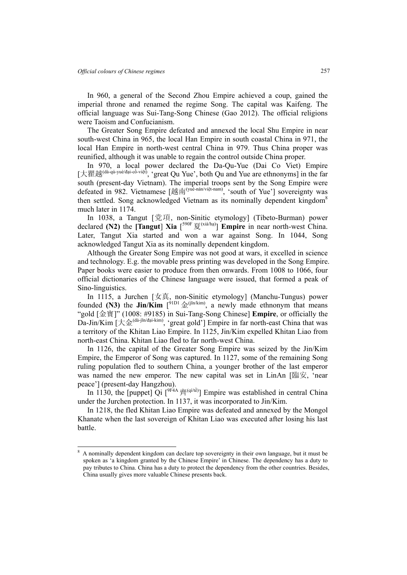$\overline{a}$ 

In 960, a general of the Second Zhou Empire achieved a coup, gained the imperial throne and renamed the regime Song. The capital was Kaifeng. The official language was Sui-Tang-Song Chinese (Gao 2012). The official religions were Taoism and Confucianism.

The Greater Song Empire defeated and annexed the local Shu Empire in near south-west China in 965, the local Han Empire in south coastal China in 971, the local Han Empire in north-west central China in 979. Thus China proper was reunified, although it was unable to regain the control outside China proper.

In 970, a local power declared the Da-Qu-Yue (Dai Co Viet) Empire [大瞿越(dà-qú-yuè/đại-cồ-việt), 'great Qu Yue', both Qu and Yue are ethnonyms] in the far south (present-day Vietnam). The imperial troops sent by the Song Empire were defeated in 982. Vietnamese [越南<sup>(yuè-nán/việt-nam)</sup>, 'south of Yue'] sovereignty was then settled. Song acknowledged Vietnam as its nominally dependent kingdom<sup>8</sup> much later in 1174.

In 1038, a Tangut [党項, non-Sinitic etymology] (Tibeto-Burman) power declared **(N2)** the **[Tangut**] **Xia**  $[$ <sup>590F</sup>  $\overline{g}$ <sup>(xià/hạ)</sup>] **Empire** in near north-west China. Later, Tangut Xia started and won a war against Song. In 1044, Song acknowledged Tangut Xia as its nominally dependent kingdom.

Although the Greater Song Empire was not good at wars, it excelled in science and technology. E.g. the movable press printing was developed in the Song Empire. Paper books were easier to produce from then onwards. From 1008 to 1066, four official dictionaries of the Chinese language were issued, that formed a peak of Sino-linguistics.

In 1115, a Jurchen [女真, non-Sinitic etymology] (Manchu-Tungus) power founded **(N3)** the  $\text{Jin}/\text{Kim}$   $[{}^{91D1} \triangleq {}^{(jin/kim)}$ , a newly made ethnonym that means "gold [金寶]" (1008: #9185) in Sui-Tang-Song Chinese] **Empire**, or officially the Da-Jin/Kim  $[\pm \hat{p}_0^{\text{(da-jin/dai-kim)}}]$ , 'great gold'] Empire in far north-east China that was a territory of the Khitan Liao Empire. In 1125, Jin/Kim expelled Khitan Liao from north-east China. Khitan Liao fled to far north-west China.

In 1126, the capital of the Greater Song Empire was seized by the Jin/Kim Empire, the Emperor of Song was captured. In 1127, some of the remaining Song ruling population fled to southern China, a younger brother of the last emperor was named the new emperor. The new capital was set in LinAn [臨安, 'near peace'] (present-day Hangzhou).

In 1130, the [puppet] Qi  $\int_{0}^{\sqrt{q}}$   $\mathbb{P}^{qA} \mathbb{P}^{q(n)}$  Empire was established in central China under the Jurchen protection. In 1137, it was incorporated to Jin/Kim.

In 1218, the fled Khitan Liao Empire was defeated and annexed by the Mongol Khanate when the last sovereign of Khitan Liao was executed after losing his last battle.

<sup>8</sup> A nominally dependent kingdom can declare top sovereignty in their own language, but it must be spoken as 'a kingdom granted by the Chinese Empire' in Chinese. The dependency has a duty to pay tributes to China. China has a duty to protect the dependency from the other countries. Besides, China usually gives more valuable Chinese presents back.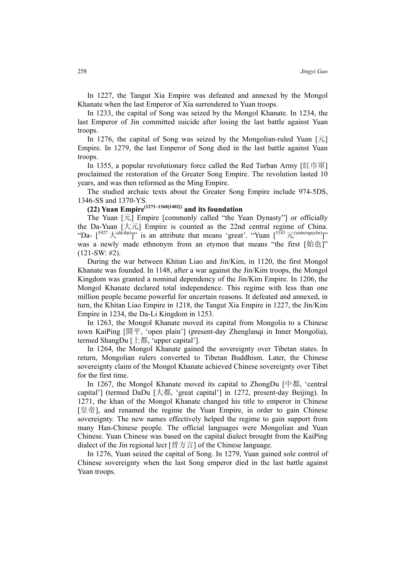In 1227, the Tangut Xia Empire was defeated and annexed by the Mongol Khanate when the last Emperor of Xia surrendered to Yuan troops.

In 1233, the capital of Song was seized by the Mongol Khanate. In 1234, the last Emperor of Jin committed suicide after losing the last battle against Yuan troops.

In 1276, the capital of Song was seized by the Mongolian-ruled Yuan  $[\bar{\pi}]$ Empire. In 1279, the last Emperor of Song died in the last battle against Yuan troops.

In 1355, a popular revolutionary force called the Red Turban Army [紅巾軍] proclaimed the restoration of the Greater Song Empire. The revolution lasted 10 years, and was then reformed as the Ming Empire.

The studied archaic texts about the Greater Song Empire include 974-5DS, 1346-SS and 1370-YS.

## **(22) Yuan Empire(1271~1368[1402]) and its foundation**

The Yuan  $[\bar{\pi}]$  Empire [commonly called "the Yuan Dynasty"] or officially the Da-Yuan  $[\n\pm \bar{\pi}]$  Empire is counted as the 22nd central regime of China. "Da-  $[5927 \pm \frac{(d\tilde{a}/d\tilde{a}i)}{i}]$ " is an attribute that means 'great'. "Yuan  $[5143 \pm \frac{(y\tilde{a}i \pi/nguy\tilde{e}n)}{i}]$ " was a newly made ethnonym from an etymon that means "the first [始也]"  $(121-SW: #2)$ .

During the war between Khitan Liao and Jin/Kim, in 1120, the first Mongol Khanate was founded. In 1148, after a war against the Jin/Kim troops, the Mongol Kingdom was granted a nominal dependency of the Jin/Kim Empire. In 1206, the Mongol Khanate declared total independence. This regime with less than one million people became powerful for uncertain reasons. It defeated and annexed, in turn, the Khitan Liao Empire in 1218, the Tangut Xia Empire in 1227, the Jin/Kim Empire in 1234, the Da-Li Kingdom in 1253.

In 1263, the Mongol Khanate moved its capital from Mongolia to a Chinese town KaiPing [開平, 'open plain'] (present-day Zhenglanqi in Inner Mongolia), termed ShangDu [上都, 'upper capital'].

In 1264, the Mongol Khanate gained the sovereignty over Tibetan states. In return, Mongolian rulers converted to Tibetan Buddhism. Later, the Chinese sovereignty claim of the Mongol Khanate achieved Chinese sovereignty over Tibet for the first time.

In 1267, the Mongol Khanate moved its capital to ZhongDu [中都, 'central capital'] (termed DaDu [大都, 'great capital'] in 1272, present-day Beijing). In 1271, the khan of the Mongol Khanate changed his title to emperor in Chinese [皇帝], and renamed the regime the Yuan Empire, in order to gain Chinese sovereignty. The new names effectively helped the regime to gain support from many Han-Chinese people. The official languages were Mongolian and Yuan Chinese. Yuan Chinese was based on the capital dialect brought from the KaiPing dialect of the Jin regional lect [晉方言] of the Chinese language.

In 1276, Yuan seized the capital of Song. In 1279, Yuan gained sole control of Chinese sovereignty when the last Song emperor died in the last battle against Yuan troops.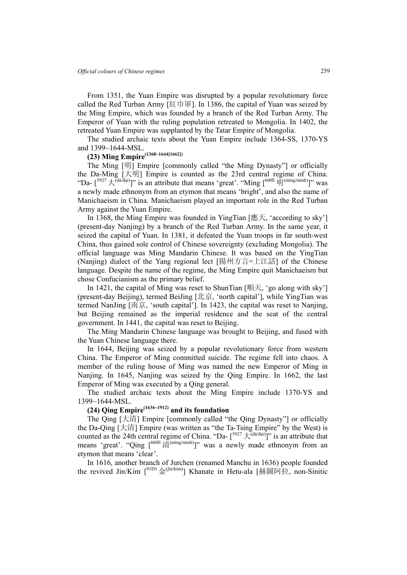From 1351, the Yuan Empire was disrupted by a popular revolutionary force called the Red Turban Army [紅巾軍]. In 1386, the capital of Yuan was seized by the Ming Empire, which was founded by a branch of the Red Turban Army. The Emperor of Yuan with the ruling population retreated to Mongolia. In 1402, the retreated Yuan Empire was supplanted by the Tatar Empire of Mongolia.

The studied archaic texts about the Yuan Empire include 1364-SS, 1370-YS and 1399~1644-MSL.

# **(23) Ming Empire(1368~1644[1662])**

The Ming [明] Empire [commonly called "the Ming Dynasty"] or officially the Da-Ming [大明] Empire is counted as the 23rd central regime of China. "Da-  $[$ <sup>5927</sup>  $\pm$ <sup>(dà/đại)</sup>]" is an attribute that means 'great'. "Ming  $[$ <sup>660E</sup>  $\overline{\mathfrak{M}}$ <sup>(míng/minh)</sup>]" was a newly made ethnonym from an etymon that means 'bright', and also the name of Manichaeism in China. Manichaeism played an important role in the Red Turban Army against the Yuan Empire.

In 1368, the Ming Empire was founded in YingTian [應天, 'according to sky'] (present-day Nanjing) by a branch of the Red Turban Army. In the same year, it seized the capital of Yuan. In 1381, it defeated the Yuan troops in far south-west China, thus gained sole control of Chinese sovereignty (excluding Mongolia). The official language was Ming Mandarin Chinese. It was based on the YingTian (Nanjing) dialect of the Yang regional lect [揚州方言=上江話] of the Chinese language. Despite the name of the regime, the Ming Empire quit Manichaeism but chose Confucianism as the primary belief.

In 1421, the capital of Ming was reset to ShunTian [順天, 'go along with sky'] (present-day Beijing), termed BeiJing [北京, 'north capital'], while YingTian was termed NanJing [南京, 'south capital']. In 1423, the capital was reset to Nanjing, but Beijing remained as the imperial residence and the seat of the central government. In 1441, the capital was reset to Beijing.

The Ming Mandarin Chinese language was brought to Beijing, and fused with the Yuan Chinese language there.

In 1644, Beijing was seized by a popular revolutionary force from western China. The Emperor of Ming committed suicide. The regime fell into chaos. A member of the ruling house of Ming was named the new Emperor of Ming in Nanjing. In 1645, Nanjing was seized by the Qing Empire. In 1662, the last Emperor of Ming was executed by a Qing general.

The studied archaic texts about the Ming Empire include 1370-YS and 1399~1644-MSL.

## **(24) Qing Empire(1636~1912) and its foundation**

The Qing [大清] Empire [commonly called "the Qing Dynasty"] or officially the Da-Qing [大清] Empire (was written as "the Ta-Tsing Empire" by the West) is counted as the 24th central regime of China. "Da-  $[5927 \pm \frac{(\text{d}\hat{a}/\text{d}\text{a})}{\text{d}\text{d}\text{a}}]$ " is an attribute that means 'great'. "Qing [<sup>660E</sup> 清<sup>(míng/minh)</sup>]" was a newly made ethnonym from an etymon that means 'clear'.

In 1616, another branch of Jurchen (renamed Manchu in 1636) people founded the revived Jin/Kim  $\int_{0}^{\frac{91D1}{2}} \hat{x}^{(\text{in/kim})}$ ] Khanate in Hetu-ala [赫圖阿拉, non-Sinitic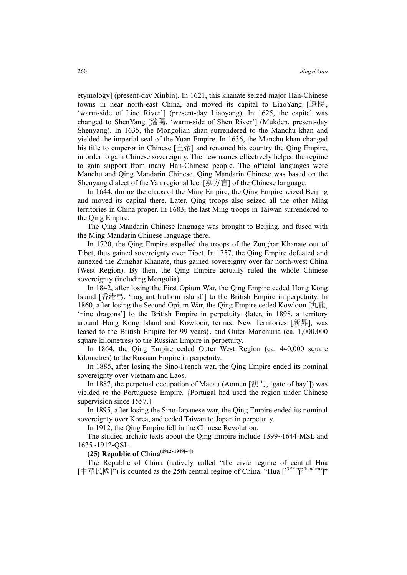etymology] (present-day Xinbin). In 1621, this khanate seized major Han-Chinese towns in near north-east China, and moved its capital to LiaoYang [遼陽, 'warm-side of Liao River'] (present-day Liaoyang). In 1625, the capital was changed to ShenYang [瀋陽, 'warm-side of Shen River'] (Mukden, present-day Shenyang). In 1635, the Mongolian khan surrendered to the Manchu khan and yielded the imperial seal of the Yuan Empire. In 1636, the Manchu khan changed his title to emperor in Chinese [皇帝] and renamed his country the Qing Empire, in order to gain Chinese sovereignty. The new names effectively helped the regime to gain support from many Han-Chinese people. The official languages were Manchu and Qing Mandarin Chinese. Qing Mandarin Chinese was based on the Shenyang dialect of the Yan regional lect [燕方言] of the Chinese language.

In 1644, during the chaos of the Ming Empire, the Qing Empire seized Beijing and moved its capital there. Later, Qing troops also seized all the other Ming territories in China proper. In 1683, the last Ming troops in Taiwan surrendered to the Qing Empire.

The Qing Mandarin Chinese language was brought to Beijing, and fused with the Ming Mandarin Chinese language there.

In 1720, the Qing Empire expelled the troops of the Zunghar Khanate out of Tibet, thus gained sovereignty over Tibet. In 1757, the Qing Empire defeated and annexed the Zunghar Khanate, thus gained sovereignty over far north-west China (West Region). By then, the Qing Empire actually ruled the whole Chinese sovereignty (including Mongolia).

In 1842, after losing the First Opium War, the Qing Empire ceded Hong Kong Island [香港島, 'fragrant harbour island'] to the British Empire in perpetuity. In 1860, after losing the Second Opium War, the Qing Empire ceded Kowloon [九龍, 'nine dragons'] to the British Empire in perpetuity {later, in 1898, a territory around Hong Kong Island and Kowloon, termed New Territories [新界], was leased to the British Empire for 99 years}, and Outer Manchuria (ca. 1,000,000 square kilometres) to the Russian Empire in perpetuity.

In 1864, the Qing Empire ceded Outer West Region (ca. 440,000 square kilometres) to the Russian Empire in perpetuity.

In 1885, after losing the Sino-French war, the Qing Empire ended its nominal sovereignty over Vietnam and Laos.

In 1887, the perpetual occupation of Macau (Aomen [澳門, 'gate of bay']) was yielded to the Portuguese Empire. {Portugal had used the region under Chinese supervision since 1557.

In 1895, after losing the Sino-Japanese war, the Qing Empire ended its nominal sovereignty over Korea, and ceded Taiwan to Japan in perpetuity.

In 1912, the Qing Empire fell in the Chinese Revolution.

The studied archaic texts about the Qing Empire include 1399~1644-MSL and 1635~1912-QSL.

# **(25) Republic of China(1912~1949[~\*])**

The Republic of China (natively called "the civic regime of central Hua [中華民國]") is counted as the 25th central regime of China. "Hua [83EF 華(huá/hoa)]"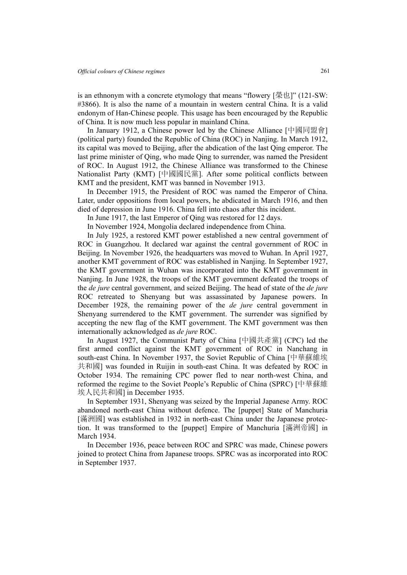is an ethnonym with a concrete etymology that means "flowery [榮也]" (121-SW: #3866). It is also the name of a mountain in western central China. It is a valid endonym of Han-Chinese people. This usage has been encouraged by the Republic of China. It is now much less popular in mainland China.

In January 1912, a Chinese power led by the Chinese Alliance [中國同盟會] (political party) founded the Republic of China (ROC) in Nanjing. In March 1912, its capital was moved to Beijing, after the abdication of the last Qing emperor. The last prime minister of Qing, who made Qing to surrender, was named the President of ROC. In August 1912, the Chinese Alliance was transformed to the Chinese Nationalist Party (KMT) [中國國民黨]. After some political conflicts between KMT and the president, KMT was banned in November 1913.

In December 1915, the President of ROC was named the Emperor of China. Later, under oppositions from local powers, he abdicated in March 1916, and then died of depression in June 1916. China fell into chaos after this incident.

In June 1917, the last Emperor of Qing was restored for 12 days.

In November 1924, Mongolia declared independence from China.

In July 1925, a restored KMT power established a new central government of ROC in Guangzhou. It declared war against the central government of ROC in Beijing. In November 1926, the headquarters was moved to Wuhan. In April 1927, another KMT government of ROC was established in Nanjing. In September 1927, the KMT government in Wuhan was incorporated into the KMT government in Nanjing. In June 1928, the troops of the KMT government defeated the troops of the *de jure* central government, and seized Beijing. The head of state of the *de jure* ROC retreated to Shenyang but was assassinated by Japanese powers. In December 1928, the remaining power of the *de jure* central government in Shenyang surrendered to the KMT government. The surrender was signified by accepting the new flag of the KMT government. The KMT government was then internationally acknowledged as *de jure* ROC.

In August 1927, the Communist Party of China [中國共產黨] (CPC) led the first armed conflict against the KMT government of ROC in Nanchang in south-east China. In November 1937, the Soviet Republic of China [中華蘇維埃 共和國] was founded in Ruijin in south-east China. It was defeated by ROC in October 1934. The remaining CPC power fled to near north-west China, and reformed the regime to the Soviet People's Republic of China (SPRC) [中華蘇維 埃人民共和國] in December 1935.

In September 1931, Shenyang was seized by the Imperial Japanese Army. ROC abandoned north-east China without defence. The [puppet] State of Manchuria [滿洲國] was established in 1932 in north-east China under the Japanese protection. It was transformed to the [puppet] Empire of Manchuria [滿洲帝國] in March 1934.

In December 1936, peace between ROC and SPRC was made, Chinese powers joined to protect China from Japanese troops. SPRC was as incorporated into ROC in September 1937.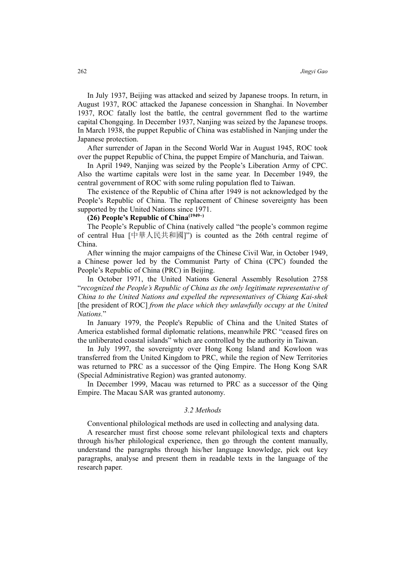In July 1937, Beijing was attacked and seized by Japanese troops. In return, in August 1937, ROC attacked the Japanese concession in Shanghai. In November 1937, ROC fatally lost the battle, the central government fled to the wartime capital Chongqing. In December 1937, Nanjing was seized by the Japanese troops. In March 1938, the puppet Republic of China was established in Nanjing under the Japanese protection.

After surrender of Japan in the Second World War in August 1945, ROC took over the puppet Republic of China, the puppet Empire of Manchuria, and Taiwan.

In April 1949, Nanjing was seized by the People's Liberation Army of CPC. Also the wartime capitals were lost in the same year. In December 1949, the central government of ROC with some ruling population fled to Taiwan.

The existence of the Republic of China after 1949 is not acknowledged by the People's Republic of China. The replacement of Chinese sovereignty has been supported by the United Nations since 1971.

## **(26) People's Republic of China(1949~)**

The People's Republic of China (natively called "the people's common regime of central Hua [中華人民共和國]") is counted as the 26th central regime of China.

After winning the major campaigns of the Chinese Civil War, in October 1949, a Chinese power led by the Communist Party of China (CPC) founded the People's Republic of China (PRC) in Beijing.

In October 1971, the United Nations General Assembly Resolution 2758 "*recognized the People's Republic of China as the only legitimate representative of China to the United Nations and expelled the representatives of Chiang Kai-shek* [the president of ROC] *from the place which they unlawfully occupy at the United Nations.*"

In January 1979, the People's Republic of China and the United States of America established formal diplomatic relations, meanwhile PRC "ceased fires on the unliberated coastal islands" which are controlled by the authority in Taiwan.

In July 1997, the sovereignty over Hong Kong Island and Kowloon was transferred from the United Kingdom to PRC, while the region of New Territories was returned to PRC as a successor of the Qing Empire. The Hong Kong SAR (Special Administrative Region) was granted autonomy.

In December 1999, Macau was returned to PRC as a successor of the Qing Empire. The Macau SAR was granted autonomy.

#### *3.2 Methods*

Conventional philological methods are used in collecting and analysing data.

A researcher must first choose some relevant philological texts and chapters through his/her philological experience, then go through the content manually, understand the paragraphs through his/her language knowledge, pick out key paragraphs, analyse and present them in readable texts in the language of the research paper.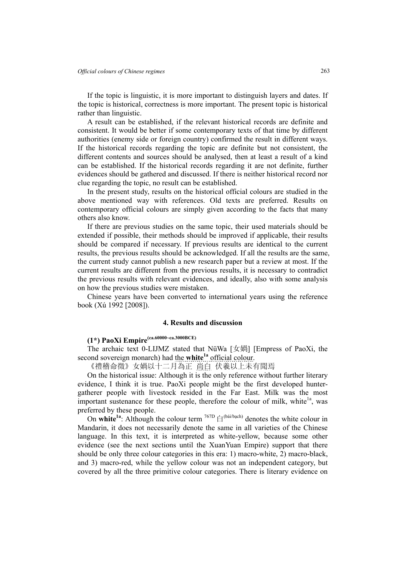If the topic is linguistic, it is more important to distinguish layers and dates. If the topic is historical, correctness is more important. The present topic is historical rather than linguistic.

A result can be established, if the relevant historical records are definite and consistent. It would be better if some contemporary texts of that time by different authorities (enemy side or foreign country) confirmed the result in different ways. If the historical records regarding the topic are definite but not consistent, the different contents and sources should be analysed, then at least a result of a kind can be established. If the historical records regarding it are not definite, further evidences should be gathered and discussed. If there is neither historical record nor clue regarding the topic, no result can be established.

In the present study, results on the historical official colours are studied in the above mentioned way with references. Old texts are preferred. Results on contemporary official colours are simply given according to the facts that many others also know.

If there are previous studies on the same topic, their used materials should be extended if possible, their methods should be improved if applicable, their results should be compared if necessary. If previous results are identical to the current results, the previous results should be acknowledged. If all the results are the same, the current study cannot publish a new research paper but a review at most. If the current results are different from the previous results, it is necessary to contradict the previous results with relevant evidences, and ideally, also with some analysis on how the previous studies were mistaken.

Chinese years have been converted to international years using the reference book (Xú 1992 [2008]).

### **4. Results and discussion**

# **(1\*) PaoXi Empire(ca.60000~ca.3000BCE)**

The archaic text 0-LIJMZ stated that NüWa [女媧] [Empress of PaoXi, the second sovereign monarch) had the **white<sup>1a</sup>** official colour.

《禮稽命徵》女媧以十二月為正 尚白 伏羲以上未有聞焉

On the historical issue: Although it is the only reference without further literary evidence, I think it is true. PaoXi people might be the first developed huntergatherer people with livestock resided in the Far East. Milk was the most important sustenance for these people, therefore the colour of milk, white $\lambda$ <sup>1a</sup>, was preferred by these people.

On white<sup>1a</sup>: Although the colour term <sup>767D</sup>  $\oplus$ <sup>(bái/bạch)</sup> denotes the white colour in Mandarin, it does not necessarily denote the same in all varieties of the Chinese language. In this text, it is interpreted as white-yellow, because some other evidence (see the next sections until the XuanYuan Empire) support that there should be only three colour categories in this era: 1) macro-white, 2) macro-black, and 3) macro-red, while the yellow colour was not an independent category, but covered by all the three primitive colour categories. There is literary evidence on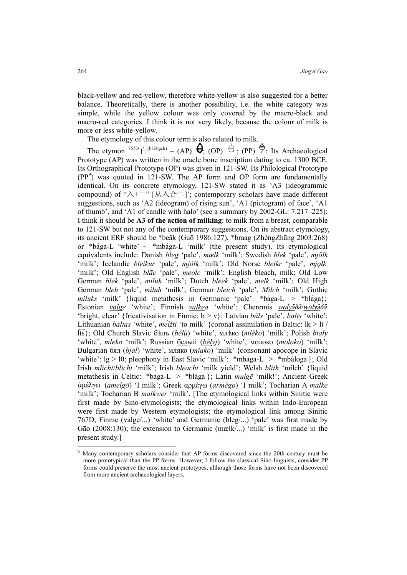black-yellow and red-yellow, therefore white-yellow is also suggested for a better balance. Theoretically, there is another possibility, i.e. the white category was simple, while the yellow colour was only covered by the macro-black and macro-red categories. I think it is not very likely, because the colour of milk is more or less white-yellow.

The etymology of this colour termis also related to milk.

The etymon  $\overline{7^{67D}}$   $\oplus$  (bái/bạch) – (AP)  $\Theta$ ; (OP)  $\oplus$ ; (PP)  $\hat{\Theta}$ : Its Archaeological Prototype (AP) was written in the oracle bone inscription dating to ca. 1300 BCE. Its Orthographical Prototype (OP) was given in 121-SW. Its Philological Prototype (PP<sup>9</sup> ) was quoted in 121-SW. The AP form and OP form are fundamentally identical. On its concrete etymology, 121-SW stated it as 'A3 (ideogrammic compound) of " $\lambda + \equiv$ " [从入合二]'; contemporary scholars have made different suggestions, such as 'A2 (ideogram) of rising sun', 'A1 (pictogram) of face', 'A1 of thumb', and 'A1 of candle with halo' (see a summary by 2002-GL: 7.217–225); I think it should be **A3 of the action of milking**: to milk from a breast, comparable to 121-SW but not any of the contemporary suggestions. On its abstract etymology, its ancient ERF should be \*beăk (Guō 1986:127), \*braag (ZhèngZhāng 2003:268) or \*baga-L 'white'  $\sim$  \*mbaga-L 'milk' (the present study). Its etymological equivalents include: Danish *bleg* 'pale', *mælk* 'milk'; Swedish *blek* 'pale', *mjölk* 'milk'; Icelandic *bleikur* 'pale', *mjólk* 'milk'; Old Norse *bleikr* 'pale', 'milk'; Old English *blāc* 'pale', *meolc* 'milk'; English bleach, milk; Old Low German *blēk* 'pale', *miluk* 'milk'; Dutch *bleek* 'pale', *melk* 'milk'; Old High German *bleh* 'pale', *miluh* 'milk'; German *bleich* 'pale', *Milch* 'milk'; Gothic *miluks* 'milk' {liquid metathesis in Germanic 'pale': \*baga-L > \*blaga}; Estonian *valge* 'white'; Finnish *valkea* 'white'; Cheremis 'bright, clear' {fricativisation in Finnic: b > v}; Latvian *bāls* 'pale', *balts* 'white'; Lithuanian *baltas* 'white', *mélžti* 'to milk' {coronal assimilation in Baltic: lk > lt / lts}; Old Church Slavic б±лъ (*bělŭ*) 'white', мл±ко (*mlěko*) 'milk'; Polish *biały* 'white', *mleko* 'milk'; Russian белый (*bélyj*) 'white', молоко (*moloko*) 'milk'; Bulgarian бял (*bjal*) 'white', мляко (*mjako*) 'milk' {consonant apocope in Slavic 'white':  $lg > 10$ ; pleophony in East Slavic 'milk': \*mbaga-L  $>$  \*mbaloga }; Old Irish *mlicht*/*blicht* 'milk'; Irish *bleacht* 'milk yield'; Welsh *blith* 'milch' {liquid metathesis in Celtic: \*baga-L > \*blaga }; Latin *mulg* $\bar{e}$  'milk!'; Ancient Greek (*amelgō*) 'I milk'; Greek αρµέγω (*armégo*) 'I milk'; Tocharian A *malke* 'milk'; Tocharian B *malkwer* 'milk'. [The etymological links within Sinitic were first made by Sino-etymologists; the etymological links within Indo-European were first made by Western etymologists; the etymological link among Sinitic 767D, Finnic (valge/...) 'white' and Germanic (bleg/...) 'pale' was first made by Gāo (2008:130); the extension to Germanic (mælk/...) 'milk' is first made in the present study.]

 $\overline{a}$ 

<sup>9</sup> Many contemporary scholars consider that AP forms discovered since the 20th century must be more prototypical than the PP forms. However, I follow the classical Sino-linguists, consider PP forms could preserve the most ancient prototypes, although those forms have not been discovered from more ancient archaeological layers.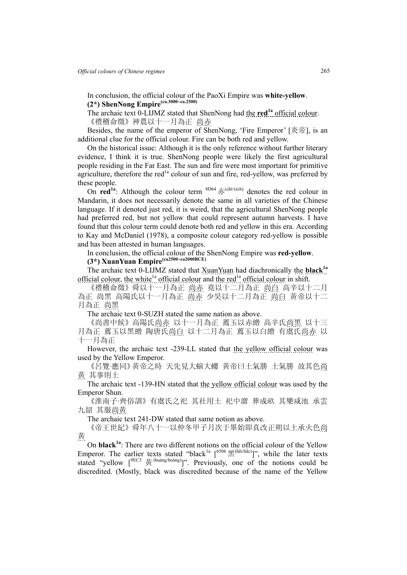In conclusion, the official colour of the PaoXi Empire was **white-yellow**. **(2\*) ShenNong Empire(ca.3000~ca.2500)**

The archaic text 0-LIJMZ stated that ShenNong had the **red1a** official colour. 《禮稽命徵》神農以十一月為正 尚赤

Besides, the name of the emperor of ShenNong, 'Fire Emperor' [炎帝], is an additional clue for the official colour. Fire can be both red and yellow.

On the historical issue: Although it is the only reference without further literary evidence, I think it is true. ShenNong people were likely the first agricultural people residing in the Far East. The sun and fire were most important for primitive agriculture, therefore the red $<sup>1a</sup>$  colour of sun and fire, red-yellow, was preferred by</sup> these people.

On **red<sup>1a</sup>**: Although the colour term  $8D64 \frac{1}{100}$  (chi/xich) denotes the red colour in Mandarin, it does not necessarily denote the same in all varieties of the Chinese language. If it denoted just red, it is weird, that the agricultural ShenNong people had preferred red, but not yellow that could represent autumn harvests. I have found that this colour term could denote both red and yellow in this era. According to Kay and McDaniel (1978), a composite colour category red-yellow is possible and has been attested in human languages.

In conclusion, the official colour of the ShenNong Empire was **red-yellow**.

# **(3\*) XuanYuan Empire(ca2500~ca2000BCE)**

The archaic text 0-LIJMZ stated that XuanYuan had diachronically the **black1a** official colour, the white<sup>1a</sup> official colour and the red<sup>1a</sup> official colour in shift.

《禮稽命徵》舜以十一月為正 尚赤 堯以十二月為正 尚白 高辛以十二月 為正 尚黑 高陽氏以十一月為正 尚赤 少昊以十二月為正 尚白 黄帝以十二 月為正 尚黑

The archaic text 0-SUZH stated the same nation as above.

《尚書中候》高陽氏尚赤 以十一月為正 薦玉以赤繒 高辛氏尚黑 以十三 月為正 薦玉以黑繒 陶唐氏尚白 以十二月為正 薦玉以白繒 有虞氏尚赤 以 十一月為正

However, the archaic text -239-LL stated that the yellow official colour was used by the Yellow Emperor.

《呂覽·應同》黃帝之時 天先見大螾大螻 黃帝曰土氣勝 土氣勝 故其色尚 黃 其事則土

The archaic text -139-HN stated that the yellow official colour was used by the Emperor Shun.

《淮南子·齊俗訓》有虞氏之祀 其社用土 祀中溜 葬成畝 其樂咸池 承雲 九韶 其服尚黃

The archaic text 241-DW stated that same notion as above.

《帝王世紀》舜年八十一以仲冬甲子月次于畢始即真改正朔以土承火色尚 黃

On **black1a**: There are two different notions on the official colour of the Yellow Emperor. The earlier texts stated "black<sup>1a</sup>  $[6506 \times 60]$ ", while the later texts stated "yellow  $\int_{\text{PEC3}}^{\text{BEC3}}$   $\frac{1}{\text{B}}$  (huáng/hoàng)]". Previously, one of the notions could be discredited. (Mostly, black was discredited because of the name of the Yellow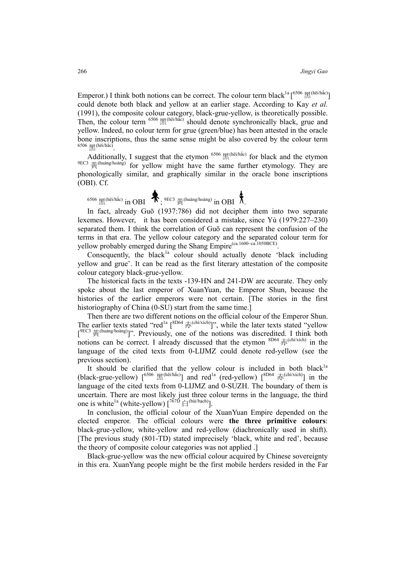Emperor.) I think both notions can be correct. The colour term black<sup>1a</sup> [<sup>6506</sup>  $\mathbb{R}^{(\text{hei/hác})}$ ] could denote both black and yellow at an earlier stage. According to Kay *et al.* (1991), the composite colour category, black-grue-yellow, is theoretically possible. Then, the colour term  $6506$   $\mathbb{R}^{(hei/h\tilde{a}c)}$  should denote synchronically black, grue and yellow. Indeed, no colour term for grue (green/blue) has been attested in the oracle bone inscriptions, thus the same sense might be also covered by the colour term 6506  $\underline{\mathbf{F}}$ (hēi/hắc)

Additionally, I suggest that the etymon  $6506 \times$   $\mathbb{R}^{(h\tilde{e}i/\tilde{h\tilde{a}c})}$  for black and the etymon  $9ECS$   $\ddot{\text{g}}$  (huáng/hoàng) for yellow might have the same further etymology. They are phonologically similar, and graphically similar in the oracle bone inscriptions (OBI). Cf.

 $^{6506}$  黑(hēi/hắc) in OBI  $\;\;\mathbf{T};$   $^{9EC3}$  黃(huáng/hoàng) in OBI  $\;\bar{\Lambda}$ .

In fact, already Guō (1937:786) did not decipher them into two separate lexemes. However, it has been considered a mistake, since Yú (1979:227–230) separated them. I think the correlation of Guō can represent the confusion of the terms in that era. The yellow colour category and the separated colour term for yellow probably emerged during the Shang Empire<sup>(ca.1600-ca.1050BCE)</sup>.

Consequently, the black<sup>1a</sup> colour should actually denote 'black including yellow and grue'. It can be read as the first literary attestation of the composite colour category black-grue-yellow.

The historical facts in the texts -139-HN and 241-DW are accurate. They only spoke about the last emperor of XuanYuan, the Emperor Shun, because the histories of the earlier emperors were not certain. [The stories in the first historiography of China (0-SU) start from the same time.

Then there are two different notions on the official colour of the Emperor Shun. The earlier texts stated "red<sup>1a</sup>  $\int^8D^{64}\vec{\pi}^{(chi/xich)}$ ", while the later texts stated "yellow"  $[1]$ <sup>9EC3</sup>  $\#$ <sup>(huáng/hoàng)</sup>]". Previously, one of the notions was discredited. I think both notions can be correct. I already discussed that the etymon  $8D64 \#^{\text{(chi/xich)}}$  in the language of the cited texts from 0-LIJMZ could denote red-yellow (see the previous section).

It should be clarified that the yellow colour is included in both black $1a$ (black-grue-yellow)  $\int_{0}^{6506}$   $\mathbb{R}^{(h\bar{e}i/\hbar\acute{a}c)}$  and red<sup>1a</sup> (red-yellow)  $\int_{0}^{8D64} \frac{1}{\sqrt{2h}}$  (chi/xich) in the language of the cited texts from 0-LIJMZ and 0-SUZH. The boundary of them is uncertain. There are most likely just three colour terms in the language, the third one is white<sup>1a</sup> (white-yellow)  $[^{767D} \text{ H}^{(\text{bá/bach})}].$ 

In conclusion, the official colour of the XuanYuan Empire depended on the elected emperor. The official colours were **the three primitive colours**: black-grue-yellow, white-yellow and red-yellow (diachronically used in shift). [The previous study (801-TD) stated imprecisely 'black, white and red', because the theory of composite colour categories was not applied .]

Black-grue-yellow was the new official colour acquired by Chinese sovereignty in this era. XuanYang people might be the first mobile herders resided in the Far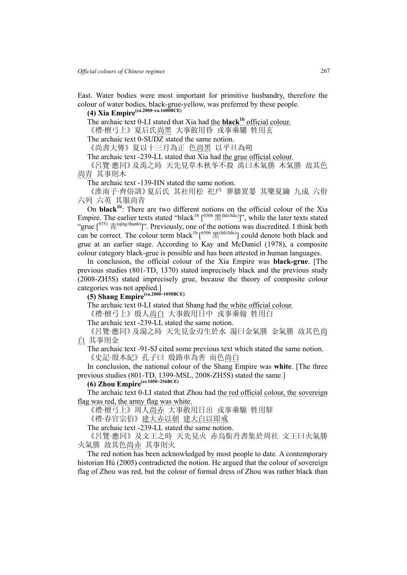East. Water bodies were most important for primitive husbandry, therefore the colour of water bodies, black-grue-yellow, was preferred by these people.

# **(4) Xia Empire(ca.2000~ca.1600BCE)**

The archaic text 0-LI stated that Xia had the **black1b** official colour.

《禮·檀弓上》夏后氏尚黑 大事斂用昏 戎事乘驪 牲用玄

The archaic text 0-SUDZ stated the same notion.

《尚書大傳》夏以十三月為正 色尚黑 以平旦為朔

The archaic text -239-LL stated that Xia had the grue official colour.

《呂覽·應同》及禹之時 天先見草木秋冬不殺 禹曰木氣勝 木氣勝 故其色 尚青 其事則木

The archaic text -139-HN stated the same notion.

《淮南子·齊俗訓》夏后氏 其社用松 祀戶 葬牆置翣 其樂夏鑰 九成 六佾 六列 六英 其服尚青

On **black1b**: There are two different notions on the official colour of the Xia Empire. The earlier texts stated "black<sup>1b</sup> [<sup>6506</sup>  $\mathbb{H}^{(h\bar{e}i/\hbar\dot{a}c)}$ ", while the later texts stated "grue  $\int_{0}^{9751} \frac{1}{10}$  (qīng/thanh)]". Previously, one of the notions was discredited. I think both can be correct. The colour term black<sup>1b</sup> [<sup>6506</sup>  $\mathbb{R}^{(\text{hei/hác})}$ ] could denote both black and grue at an earlier stage. According to Kay and McDaniel (1978), a composite colour category black-grue is possible and has been attested in human languages.

In conclusion, the official colour of the Xia Empire was **black-grue**. [The previous studies (801-TD, 1370) stated imprecisely black and the previous study (2008-ZH5S) stated imprecisely grue, because the theory of composite colour categories was not applied.]

**(5) Shang Empire(ca.2000~1050BCE)** 

The archaic text 0-LI stated that Shang had the white official colour.

《禮·檀弓上》殷人尚白 大事斂用日中 戎事乘翰 牲用白

The archaic text -239-LL stated the same notion.

《呂覽·應同》及湯之時 天先見金刃生於水 湯曰金氣勝 金氣勝 故其色尚 白 其事則金

The archaic text -91-SJ cited some previous text which stated the same notion. 《史記·殷本紀》孔子曰 殷路車為善 而色尚白

In conclusion, the national colour of the Shang Empire was **white**. [The three previous studies (801-TD, 1399-MSL, 2008-ZH5S) stated the same.]

# **(6) Zhou Empire(cs.1050~256BCE)**

The archaic text 0-LI stated that Zhou had the red official colour, the sovereign flag was red, the army flag was white.

《禮·檀弓上》周人尚赤 大事斂用日出 戎事乘騵 牲用騂

《禮·春官宗伯》建大赤以朝 建大白以即戒

The archaic text -239-LL stated the same notion.

《呂覽·應同》及文王之時 天先見火 赤烏銜丹書集於周社 文王曰火氣勝 火氣勝 故其色尚赤 其事則火

The red notion has been acknowledged by most people to date. A contemporary historian Hú (2005) contradicted the notion. He argued that the colour of sovereign flag of Zhou was red, but the colour of formal dress of Zhou was rather black than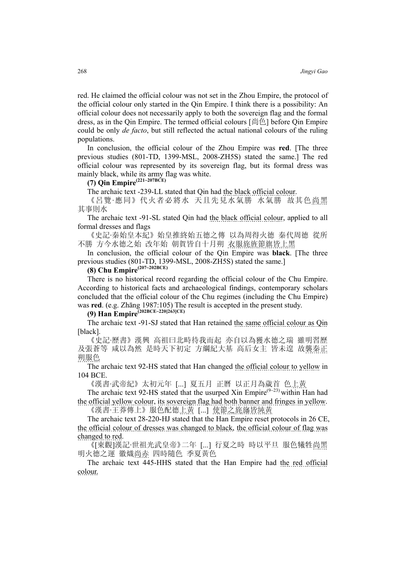red. He claimed the official colour was not set in the Zhou Empire, the protocol of the official colour only started in the Qin Empire. I think there is a possibility: An official colour does not necessarily apply to both the sovereign flag and the formal dress, as in the Qin Empire. The termed official colours [尚色] before Qin Empire could be only *de facto*, but still reflected the actual national colours of the ruling populations.

In conclusion, the official colour of the Zhou Empire was **red**. [The three previous studies (801-TD, 1399-MSL, 2008-ZH5S) stated the same.] The red official colour was represented by its sovereign flag, but its formal dress was mainly black, while its army flag was white.

# **(7) Qin Empire(221~207BCE)**

The archaic text -239-LL stated that Qin had the black official colour.

《呂覽·應同》代火者必將水 天且先見水氣勝 水氣勝 故其色尚黑 其事則水

The archaic text -91-SL stated Qin had the black official colour, applied to all formal dresses and flags

《史記·秦始皇本紀》始皇推終始五德之傳 以為周得火德 秦代周德 從所 不勝 方今水德之始 改年始 朝賀皆自十月朔 衣服旄旌節旗皆上黑

In conclusion, the official colour of the Qin Empire was **black**. [The three previous studies (801-TD, 1399-MSL, 2008-ZH5S) stated the same.]

**(8) Chu Empire(207~202BCE)**

There is no historical record regarding the official colour of the Chu Empire. According to historical facts and archaeological findings, contemporary scholars concluded that the official colour of the Chu regimes (including the Chu Empire) was **red**. (e.g. Zhāng 1987:105) The result is accepted in the present study.

**(9) Han Empire(202BCE~220[263]CE)**

The archaic text -91-SJ stated that Han retained the same official colour as Qin [black].

《史記·歷書》漢興 高祖曰北畤待我而起 亦自以為獲水德之瑞 雖明習歷 及張蒼等 咸以為然 是時天下初定 方綱紀大基 高后女主 皆未遑 故襲秦正 朔服色

The archaic text 92-HS stated that Han changed the official colour to yellow in 104 BCE.

《漢書·武帝紀》太初元年 [...] 夏五月 正曆 以正月為歲首 色上黃

The archaic text 92-HS stated that the usurped Xin Empire $(9-23)$  within Han had the official yellow colour, its sovereign flag had both banner and fringes in yellow.

《漢書·王莽傳上》服色配德上黃 [...] 使節之旄旛皆純黃

The archaic text 28-220-HJ stated that the Han Empire reset protocols in 26 CE, the official colour of dresses was changed to black, the official colour of flag was changed to red.

《[東觀]漢記·世祖光武皇帝》二年 [...] 行夏之時 時以平旦 服色犧牲尚黑 明火德之運 徽熾尚赤 四時隨色 季夏黃色

The archaic text 445-HHS stated that the Han Empire had the red official colour.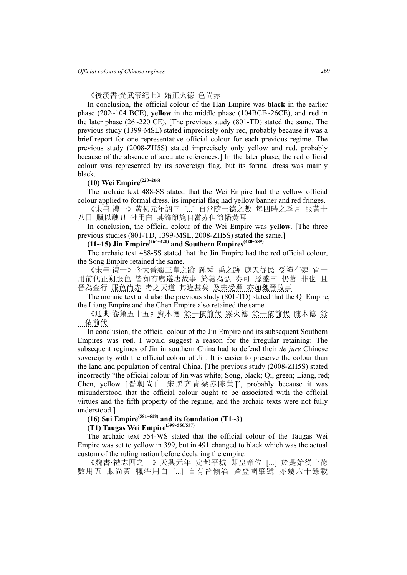《後漢書·光武帝紀上》始正火德 色尚赤

In conclusion, the official colour of the Han Empire was **black** in the earlier phase (202~104 BCE), **yellow** in the middle phase (104BCE~26CE), and **red** in the later phase (26~220 CE). [The previous study (801-TD) stated the same. The previous study (1399-MSL) stated imprecisely only red, probably because it was a brief report for one representative official colour for each previous regime. The previous study (2008-ZH5S) stated imprecisely only yellow and red, probably because of the absence of accurate references.] In the later phase, the red official colour was represented by its sovereign flag, but its formal dress was mainly black.

# **(10) Wei Empire(220~266)**

The archaic text 488-SS stated that the Wei Empire had the yellow official colour applied to formal dress, its imperial flag had yellow banner and red fringes.

《宋書·禮一》黃初元年詔曰 [...] 自當隨土德之數 每四時之季月 服黃十 八日 臘以醜丑 牲用白 其飾節旄自當赤但節幡黃耳

In conclusion, the official colour of the Wei Empire was **yellow**. [The three previous studies (801-TD, 1399-MSL, 2008-ZH5S) stated the same.]

### **(11~15) Jin Empire(266~420) and Southern Empires(420~589)**

The archaic text 488-SS stated that the Jin Empire had the red official colour, the Song Empire retained the same.

《宋書·禮一》今大晉繼三皇之蹤 踵舜 禹之跡 應天從民 受禪有魏 宜一 用前代正朔服色 皆如有虞遵唐故事 於義為弘 奏可 孫盛曰 仍舊 非也 且 晉為金行 服色尚赤 考之天道 其違甚矣 及宋受禪 亦如魏晉故事

The archaic text and also the previous study (801-TD) stated that the Qi Empire, the Liang Empire and the Chen Empire also retained the same.

《通典·卷第五十五》齊木德 餘一依前代 梁火德 餘一依前代 陳木德 餘 一依前代

In conclusion, the official colour of the Jin Empire and its subsequent Southern Empires was **red**. I would suggest a reason for the irregular retaining: The subsequent regimes of Jin in southern China had to defend their *de jure* Chinese sovereignty with the official colour of Jin. It is easier to preserve the colour than the land and population of central China. [The previous study (2008-ZH5S) stated incorrectly "the official colour of Jin was white; Song, black; Qi, green; Liang, red; Chen, yellow [晋朝尚白 宋黑齐青梁赤陈黄]", probably because it was misunderstood that the official colour ought to be associated with the official virtues and the fifth property of the regime, and the archaic texts were not fully understood.]

# **(16) Sui Empire(581~618) and its foundation (T1~3)**

**(T1) Taugas Wei Empire(399~550/557)** 

The archaic text 554-WS stated that the official colour of the Taugas Wei Empire was set to yellow in 399, but in 491 changed to black which was the actual custom of the ruling nation before declaring the empire.

《魏書·禮志四之一》天興元年 定都平城 即皇帝位 [...] 於是始從土德 數用五 服尚黃 犧牲用白 [...] 自有晉傾淪 暨登國肇號 亦幾六十餘載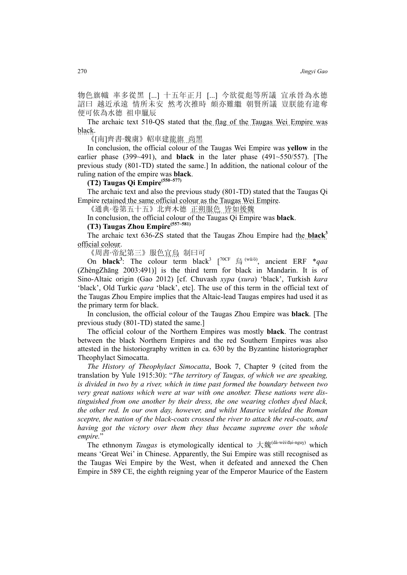物色旗幟 率多從黑 [...] 十五年正月 [...] 今欲從彪等所議 宜承晉為水德 詔曰 越近承遠 情所未安 然考次推時 頗亦難繼 朝賢所議 豈朕能有違奪 便可依為水德 祖申臘辰

The archaic text 51θ-QS stated that the flag of the Taugas Wei Empire was black.

《[南]齊書·魏虜》軺車建龍旗 尚黑

In conclusion, the official colour of the Taugas Wei Empire was **yellow** in the earlier phase (399~491), and **black** in the later phase (491~550/557). [The previous study (801-TD) stated the same.] In addition, the national colour of the ruling nation of the empire was **black**.

### **(T2) Taugas Qi Empire(550~577)**

The archaic text and also the previous study (801-TD) stated that the Taugas Qi Empire retained the same official colour as the Taugas Wei Empire.

《通典·卷第五十五》北齊木德 正朔服色 皆如後魏

In conclusion, the official colour of the Taugas Qi Empire was **black**.

# **(T3) Taugas Zhou Empire(557~581)**

The archaic text 636-ZS stated that the Taugas Zhou Empire had the **black**<sup>3</sup> official colour.

《周書·帝紀第三》服色宜烏 制曰可

On **black**<sup>3</sup>: The colour term black<sup>3</sup> [<sup>70CF</sup> 烏 (wū/ô), ancient ERF \**qaa* (ZhèngZhāng 2003:491)] is the third term for black in Mandarin. It is of Sino-Altaic origin (Gao 2012) [cf. Chuvash *хура* (*xura*) 'black', Turkish *kara* 'black', Old Turkic *qara* 'black', etc]. The use of this term in the official text of the Taugas Zhou Empire implies that the Altaic-lead Taugas empires had used it as the primary term for black.

In conclusion, the official colour of the Taugas Zhou Empire was **black**. [The previous study (801-TD) stated the same.]

The official colour of the Northern Empires was mostly **black**. The contrast between the black Northern Empires and the red Southern Empires was also attested in the historiography written in ca. 630 by the Byzantine historiographer Theophylact Simocatta.

*The History of Theophylact Simocatta*, Book 7, Chapter 9 (cited from the translation by Yule 1915:30): "*The territory of Taugas, of which we are speaking, is divided in two by a river, which in time past formed the boundary between two very great nations which were at war with one another. These nations were distinguished from one another by their dress, the one wearing clothes dyed black, the other red. In our own day, however, and whilst Maurice wielded the Roman sceptre, the nation of the black-coats crossed the river to attack the red-coats, and having got the victory over them they thus became supreme over the whole empire.*"

The ethnonym *Taugas* is etymologically identical to 大魏<sup>(dà-wèi/đại-nguỵ)</sup> which means 'Great Wei' in Chinese. Apparently, the Sui Empire was still recognised as the Taugas Wei Empire by the West, when it defeated and annexed the Chen Empire in 589 CE, the eighth reigning year of the Emperor Maurice of the Eastern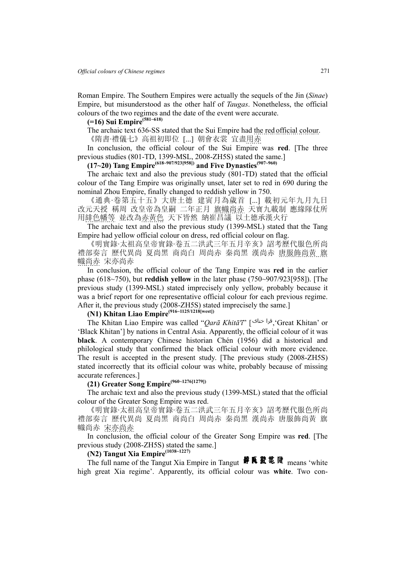Roman Empire. The Southern Empires were actually the sequels of the Jin (*Sinae*) Empire, but misunderstood as the other half of *Taugas*. Nonetheless, the official colours of the two regimes and the date of the event were accurate.

## **(=16) Sui Empire(581~618)**

The archaic text 636-SS stated that the Sui Empire had the red official colour.

《隋書·禮儀七》高祖初即位 [...] 朝會衣裳 宜盡用赤

In conclusion, the official colour of the Sui Empire was **red**. [The three previous studies (801-TD, 1399-MSL, 2008-ZH5S) stated the same.]

## **(17~20) Tang Empire(618~907/923[958]) and Five Dynasties(907~960)**

The archaic text and also the previous study (801-TD) stated that the official colour of the Tang Empire was originally unset, later set to red in 690 during the nominal Zhou Empire, finally changed to reddish yellow in 750.

《通典·卷第五十五》大唐土德 建寅月為歲首 [...] 載初元年九月九日 改元天授 稱周 改皇帝為皇嗣 二年正月 旗幟尚赤 天寶九載制 應緣隊仗所 用緋色幡等 並改為赤黃色 天下皆然 納崔昌議 以土德承漢火行

The archaic text and also the previous study (1399-MSL) stated that the Tang Empire had yellow official colour on dress, red official colour on flag.

《明實錄·太祖高皇帝實錄·卷五二洪武三年五月辛亥》詔考歷代服色所尚 禮部奏言 歷代異尚 夏尚黑 商尚白 周尚赤 秦尚黑 漢尚赤 唐服飾尚黃 旗 幟尚赤 宋亦尚赤

In conclusion, the official colour of the Tang Empire was **red** in the earlier phase (618~750), but **reddish yellow** in the later phase (750~907/923[958]). [The previous study (1399-MSL) stated imprecisely only yellow, probably because it was a brief report for one representative official colour for each previous regime. After it, the previous study (2008-ZH5S) stated imprecisely the same.]

# **(N1) Khitan Liao Empire(916~1125/1218[west])**

The Khitan Liao Empire was called "*Qarā Khitā'ī*" [ ,'Great Khitan' or 'Black Khitan'] by nations in Central Asia. Apparently, the official colour of it was **black**. A contemporary Chinese historian Chén (1956) did a historical and philological study that confirmed the black official colour with more evidence. The result is accepted in the present study. [The previous study (2008-ZH5S) stated incorrectly that its official colour was white, probably because of missing accurate references.]

# **(21) Greater Song Empire(960~1276[1279])**

The archaic text and also the previous study (1399-MSL) stated that the official colour of the Greater Song Empire was red.

《明實錄·太祖高皇帝實錄·卷五二洪武三年五月辛亥》詔考歷代服色所尚 禮部奏言 歷代異尚 夏尚黑 商尚白 周尚赤 秦尚黑 漢尚赤 唐服飾尚黃 旗 幟尚赤 <u>宋亦尚赤</u>

In conclusion, the official colour of the Greater Song Empire was **red**. [The previous study (2008-ZH5S) stated the same.]

# **(N2) Tangut Xia Empire(1038~1227)**

The full name of the Tangut Xia Empire in Tangut #  $\mathbf{F} \in \mathbb{R}$   $\mathbb{Z}$   $\mathbb{R}$  means 'white high great Xia regime'. Apparently, its official colour was **white**. Two con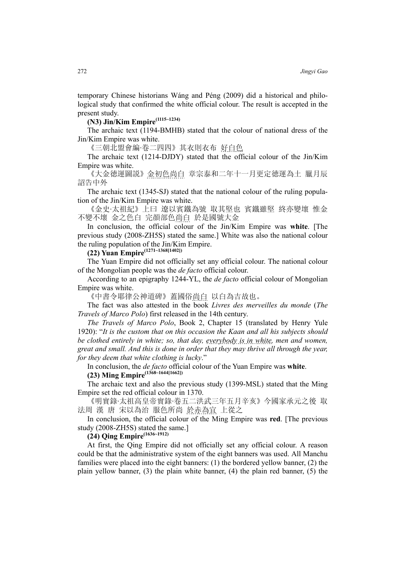temporary Chinese historians Wáng and Péng (2009) did a historical and philological study that confirmed the white official colour. The result is accepted in the present study.

**(N3) Jin/Kim Empire(1115~1234)**

The archaic text (1194-BMHB) stated that the colour of national dress of the Jin/Kim Empire was white.

《三朝北盟會編·卷二四四》其衣則衣布 好白色

The archaic text (1214-DJDY) stated that the official colour of the Jin/Kim Empire was white.

《大金徳運圖説》金初色尚白 章宗泰和二年十一月更定徳運為土 臘月辰 詔告中外

The archaic text (1345-SJ) stated that the national colour of the ruling population of the Jin/Kim Empire was white.

《金史·太祖紀》上曰 遼以賓鐵為號 取其堅也 賓鐵雖堅 終亦變壞 惟金 不變不壞 金之色白 完顏部色尚白 於是國號大金

In conclusion, the official colour of the Jin/Kim Empire was **white**. [The previous study (2008-ZH5S) stated the same.] White was also the national colour the ruling population of the Jin/Kim Empire.

**(22) Yuan Empire(1271~1368[1402])**

The Yuan Empire did not officially set any official colour. The national colour of the Mongolian people was the *de facto* official colour.

According to an epigraphy 1244-YL, the *de facto* official colour of Mongolian Empire was white.

《中書令耶律公神道碑》蓋國俗尚白 以白為吉故也。

The fact was also attested in the book *Livres des merveilles du monde* (*The Travels of Marco Polo*) first released in the 14th century.

*The Travels of Marco Polo*, Book 2, Chapter 15 (translated by Henry Yule 1920): "*It is the custom that on this occasion the Kaan and all his subjects should be clothed entirely in white; so, that day, everybody is in white, men and women, great and small. And this is done in order that they may thrive all through the year, for they deem that white clothing is lucky*."

In conclusion, the *de facto* official colour of the Yuan Empire was **white**.

**(23) Ming Empire(1368~1644[1662])**

The archaic text and also the previous study (1399-MSL) stated that the Ming Empire set the red official colour in 1370.

《明實錄·太祖高皇帝實錄·卷五二洪武三年五月辛亥》今國家承元之後 取 法周 漢 唐 宋以為治 服色所尚 於赤為宜 上從之

In conclusion, the official colour of the Ming Empire was **red**. [The previous study (2008-ZH5S) stated the same.]

**(24) Qing Empire(1636~1912)**

At first, the Qing Empire did not officially set any official colour. A reason could be that the administrative system of the eight banners was used. All Manchu families were placed into the eight banners: (1) the bordered yellow banner, (2) the plain yellow banner, (3) the plain white banner, (4) the plain red banner, (5) the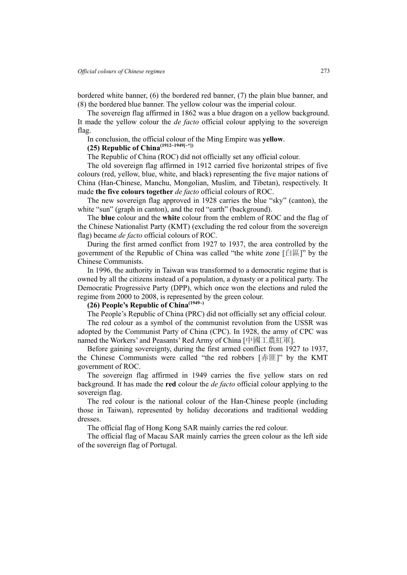bordered white banner, (6) the bordered red banner, (7) the plain blue banner, and (8) the bordered blue banner. The yellow colour was the imperial colour.

The sovereign flag affirmed in 1862 was a blue dragon on a yellow background. It made the yellow colour the *de facto* official colour applying to the sovereign flag.

In conclusion, the official colour of the Ming Empire was **yellow**.

# **(25) Republic of China(1912~1949[~\*])**

The Republic of China (ROC) did not officially set any official colour.

The old sovereign flag affirmed in 1912 carried five horizontal stripes of five colours (red, yellow, blue, white, and black) representing the five major nations of China (Han-Chinese, Manchu, Mongolian, Muslim, and Tibetan), respectively. It made **the five colours together** *de facto* official colours of ROC.

The new sovereign flag approved in 1928 carries the blue "sky" (canton), the white "sun" (graph in canton), and the red "earth" (background).

The **blue** colour and the **white** colour from the emblem of ROC and the flag of the Chinese Nationalist Party (KMT) (excluding the red colour from the sovereign flag) became *de facto* official colours of ROC.

During the first armed conflict from 1927 to 1937, the area controlled by the government of the Republic of China was called "the white zone  $[\Box \Box$ " by the Chinese Communists.

In 1996, the authority in Taiwan was transformed to a democratic regime that is owned by all the citizens instead of a population, a dynasty or a political party. The Democratic Progressive Party (DPP), which once won the elections and ruled the regime from 2000 to 2008, is represented by the green colour.

# **(26) People's Republic of China(1949~)**

The People's Republic of China (PRC) did not officially set any official colour.

The red colour as a symbol of the communist revolution from the USSR was adopted by the Communist Party of China (CPC). In 1928, the army of CPC was named the Workers' and Peasants' Red Army of China [中國工農紅軍].

Before gaining sovereignty, during the first armed conflict from 1927 to 1937, the Chinese Communists were called "the red robbers [赤匪]" by the KMT government of ROC.

The sovereign flag affirmed in 1949 carries the five yellow stars on red background. It has made the **red** colour the *de facto* official colour applying to the sovereign flag.

The red colour is the national colour of the Han-Chinese people (including those in Taiwan), represented by holiday decorations and traditional wedding dresses.

The official flag of Hong Kong SAR mainly carries the red colour.

The official flag of Macau SAR mainly carries the green colour as the left side of the sovereign flag of Portugal.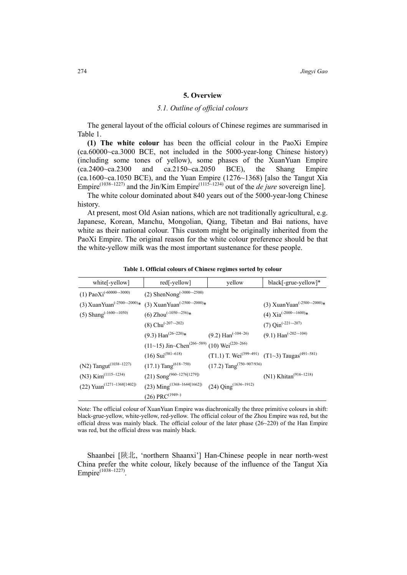### **5. Overview**

### *5.1. Outline of official colours*

The general layout of the official colours of Chinese regimes are summarised in Table 1.

**(1) The white colour** has been the official colour in the PaoXi Empire (ca.60000~ca.3000 BCE, not included in the 5000-year-long Chinese history) (including some tones of yellow), some phases of the XuanYuan Empire  $(ca.2400\text{-}ca.2300$  and  $ca.2150\text{-}ca.2050$  BCE), the Shang Empire  $(ca.1600\text{--}ca.1050 \text{BCE})$ , and the Yuan Empire  $(1276\text{--}1368)$  [also the Tangut Xia Empire<sup>(1038~1227)</sup> and the Jin/Kim Empire<sup>(1115~1234)</sup> out of the *de jure* sovereign line].

The white colour dominated about 840 years out of the 5000-year-long Chinese history.

At present, most Old Asian nations, which are not traditionally agricultural, e.g. Japanese, Korean, Manchu, Mongolian, Qiang, Tibetan and Bai nations, have white as their national colour. This custom might be originally inherited from the PaoXi Empire. The original reason for the white colour preference should be that the white-yellow milk was the most important sustenance for these people.

| white[-yellow]                                      | red[-yellow]                                                          | yellow                                              | black[-grue-yellow]*                                                  |
|-----------------------------------------------------|-----------------------------------------------------------------------|-----------------------------------------------------|-----------------------------------------------------------------------|
| (1) PaoXi <sup>(-60000</sup> ~-3000)                | (2) ShenNong <sup>(-3000--2500)</sup>                                 |                                                     |                                                                       |
| (3) XuanYuan <sup>(-2500</sup> $\sim$ -2000)*       | (3) XuanYuan <sup>(-2500~-2000)*</sup>                                |                                                     | (3) XuanYuan <sup>(-2500--2000)*</sup>                                |
| (5) Shang <sup><math>(-1600 \sim 1050)</math></sup> | (6) Zhou <sup><math>(-1050 - 256)</math>*</sup>                       |                                                     | (4) $Xia^{(-2000\sim 1600)*}$                                         |
|                                                     | (8) Chu <sup>(-207</sup> $\sim$ -202)                                 |                                                     | $(7)$ Qin <sup>(-221~-207)</sup>                                      |
|                                                     | $(9.3)$ Han <sup><math>(26-220)</math>*</sup>                         | $(9.2)$ Han <sup><math>(-104-26)</math></sup>       | $(9.1)$ Han <sup><math>(-202 - (-104))</math></sup>                   |
|                                                     | $(11~15)$ Jin~Chen <sup>(266~589)</sup> (10) Wei <sup>(220~266)</sup> |                                                     |                                                                       |
|                                                     | $(16)$ Sui <sup>(581~618)</sup>                                       |                                                     | (T1.1) T. Wei <sup>(399~491)</sup> (T1~3) Taugas <sup>(491~581)</sup> |
| (N2) Tangut <sup>(1038~1227)</sup>                  | $(17.1)$ Tang <sup><math>(618~750)</math></sup>                       | $(17.2)$ Tang <sup><math>(750-907/936)</math></sup> |                                                                       |
| (N3) $Kim^{(1115-1234)}$                            | (21) Song <sup>(960~1276[1279])</sup>                                 |                                                     | (N1) Khitan <sup>(916~1218)</sup>                                     |
| (22) Yuan <sup>(1271~1368[1402])</sup>              | (23) Ming <sup>(1368~1644[1662])</sup>                                | (24) $\text{Qing}^{(1636\sim 1912)}$                |                                                                       |
|                                                     | $(26)$ PRC <sup>(1949~)</sup>                                         |                                                     |                                                                       |

**Table 1. Official colours of Chinese regimes sorted by colour**

Note: The official colour of XuanYuan Empire was diachronically the three primitive colours in shift: black-grue-yellow, white-yellow, red-yellow. The official colour of the Zhou Empire was red, but the official dress was mainly black. The official colour of the later phase  $(26~220)$  of the Han Empire was red, but the official dress was mainly black.

Shaanbei [陕北, 'northern Shaanxi'] Han-Chinese people in near north-west China prefer the white colour, likely because of the influence of the Tangut Xia Empire<sup>(1038~1227)</sup>.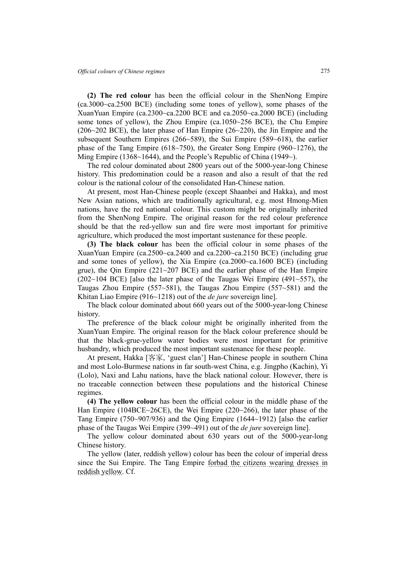**(2) The red colour** has been the official colour in the ShenNong Empire (ca.3000~ca.2500 BCE) (including some tones of yellow), some phases of the XuanYuan Empire (ca.2300~ca.2200 BCE and ca.2050~ca.2000 BCE) (including some tones of yellow), the Zhou Empire (ca.1050~256 BCE), the Chu Empire (206~202 BCE), the later phase of Han Empire (26~220), the Jin Empire and the subsequent Southern Empires (266~589), the Sui Empire (589~618), the earlier phase of the Tang Empire (618~750), the Greater Song Empire (960~1276), the Ming Empire (1368~1644), and the People's Republic of China (1949~).

The red colour dominated about 2800 years out of the 5000-year-long Chinese history. This predomination could be a reason and also a result of that the red colour is the national colour of the consolidated Han-Chinese nation.

At present, most Han-Chinese people (except Shaanbei and Hakka), and most New Asian nations, which are traditionally agricultural, e.g. most Hmong-Mien nations, have the red national colour. This custom might be originally inherited from the ShenNong Empire. The original reason for the red colour preference should be that the red-yellow sun and fire were most important for primitive agriculture, which produced the most important sustenance for these people.

**(3) The black colour** has been the official colour in some phases of the XuanYuan Empire (ca.2500~ca.2400 and ca.2200~ca.2150 BCE) (including grue and some tones of yellow), the Xia Empire (ca.2000~ca.1600 BCE) (including grue), the Qin Empire  $(221-207 \text{ BCE})$  and the earlier phase of the Han Empire  $(202~104 \text{ BCE})$  [also the later phase of the Taugas Wei Empire (491~557), the Taugas Zhou Empire (557~581), the Taugas Zhou Empire (557~581) and the Khitan Liao Empire (916~1218) out of the *de jure* sovereign line].

The black colour dominated about 660 years out of the 5000-year-long Chinese history.

The preference of the black colour might be originally inherited from the XuanYuan Empire. The original reason for the black colour preference should be that the black-grue-yellow water bodies were most important for primitive husbandry, which produced the most important sustenance for these people.

At present, Hakka [客家, 'guest clan'] Han-Chinese people in southern China and most Lolo-Burmese nations in far south-west China, e.g. Jingpho (Kachin), Yi (Lolo), Naxi and Lahu nations, have the black national colour. However, there is no traceable connection between these populations and the historical Chinese regimes.

**(4) The yellow colour** has been the official colour in the middle phase of the Han Empire (104BCE~26CE), the Wei Empire (220~266), the later phase of the Tang Empire (750~907/936) and the Qing Empire (1644~1912) [also the earlier phase of the Taugas Wei Empire (399~491) out of the *de jure* sovereign line].

The yellow colour dominated about 630 years out of the 5000-year-long Chinese history.

The yellow (later, reddish yellow) colour has been the colour of imperial dress since the Sui Empire. The Tang Empire forbad the citizens wearing dresses in reddish yellow. Cf.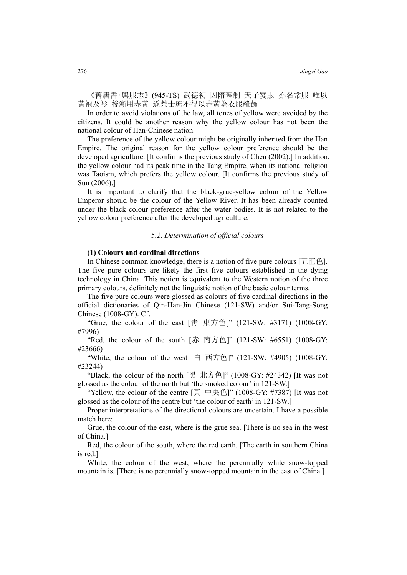《舊唐書‧輿服志》(945-TS) 武德初 因隋舊制 天子宴服 亦名常服 唯以 黃袍及衫 後漸用赤黃 遂禁士庶不得以赤黃為衣服雜飾

In order to avoid violations of the law, all tones of yellow were avoided by the citizens. It could be another reason why the yellow colour has not been the national colour of Han-Chinese nation.

The preference of the yellow colour might be originally inherited from the Han Empire. The original reason for the yellow colour preference should be the developed agriculture. [It confirms the previous study of Chén (2002).] In addition, the yellow colour had its peak time in the Tang Empire, when its national religion was Taoism, which prefers the yellow colour. [It confirms the previous study of Sūn (2006).]

It is important to clarify that the black-grue-yellow colour of the Yellow Emperor should be the colour of the Yellow River. It has been already counted under the black colour preference after the water bodies. It is not related to the yellow colour preference after the developed agriculture.

### *5.2. Determination of official colours*

#### **(1) Colours and cardinal directions**

In Chinese common knowledge, there is a notion of five pure colours  $[\pm \pm \pm \pm]$ . The five pure colours are likely the first five colours established in the dying technology in China. This notion is equivalent to the Western notion of the three primary colours, definitely not the linguistic notion of the basic colour terms.

The five pure colours were glossed as colours of five cardinal directions in the official dictionaries of Qin-Han-Jin Chinese (121-SW) and/or Sui-Tang-Song Chinese (1008-GY). Cf.

"Grue, the colour of the east [靑 東方色]" (121-SW: #3171) (1008-GY: #7996)

"Red, the colour of the south [赤 南方色]" (121-SW: #6551) (1008-GY: #23666)

"White, the colour of the west [白 西方色]" (121-SW: #4905) (1008-GY: #23244)

"Black, the colour of the north  $[\mathbb{R} \pm \mathcal{F}]$ " (1008-GY: #24342) [It was not glossed as the colour of the north but 'the smoked colour' in 121-SW.]

"Yellow, the colour of the centre [黃 中央色]" (1008-GY: #7387) [It was not glossed as the colour of the centre but 'the colour of earth' in 121-SW.]

Proper interpretations of the directional colours are uncertain. I have a possible match here:

Grue, the colour of the east, where is the grue sea. [There is no sea in the west of China.]

Red, the colour of the south, where the red earth. [The earth in southern China is red.]

White, the colour of the west, where the perennially white snow-topped mountain is. [There is no perennially snow-topped mountain in the east of China.]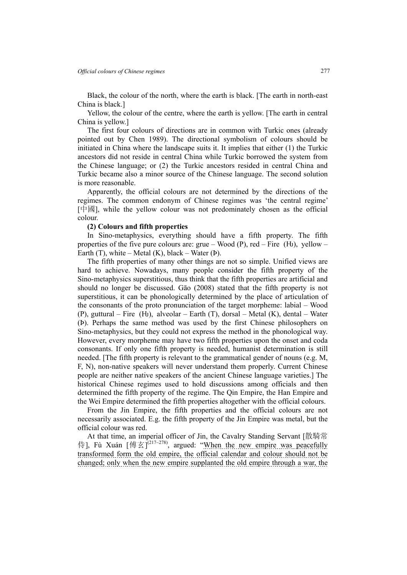Black, the colour of the north, where the earth is black. [The earth in north-east China is black.]

Yellow, the colour of the centre, where the earth is yellow. [The earth in central China is yellow.]

The first four colours of directions are in common with Turkic ones (already pointed out by Chen 1989). The directional symbolism of colours should be initiated in China where the landscape suits it. It implies that either (1) the Turkic ancestors did not reside in central China while Turkic borrowed the system from the Chinese language; or (2) the Turkic ancestors resided in central China and Turkic became also a minor source of the Chinese language. The second solution is more reasonable.

Apparently, the official colours are not determined by the directions of the regimes. The common endonym of Chinese regimes was 'the central regime' [中國], while the yellow colour was not predominately chosen as the official colour.

#### **(2) Colours and fifth properties**

In Sino-metaphysics, everything should have a fifth property. The fifth properties of the five pure colours are: grue – Wood (P), red – Fire (H), yellow – Earth  $(T)$ , white – Metal  $(K)$ , black – Water  $(P)$ .

The fifth properties of many other things are not so simple. Unified views are hard to achieve. Nowadays, many people consider the fifth property of the Sino-metaphysics superstitious, thus think that the fifth properties are artificial and should no longer be discussed. Gāo (2008) stated that the fifth property is not superstitious, it can be phonologically determined by the place of articulation of the consonants of the proto pronunciation of the target morpheme: labial – Wood (P), guttural – Fire (H), alveolar – Earth (T), dorsal – Metal (K), dental – Water (Þ). Perhaps the same method was used by the first Chinese philosophers on Sino-metaphysics, but they could not express the method in the phonological way. However, every morpheme may have two fifth properties upon the onset and coda consonants. If only one fifth property is needed, humanist determination is still needed. [The fifth property is relevant to the grammatical gender of nouns (e.g. M, F, N), non-native speakers will never understand them properly. Current Chinese people are neither native speakers of the ancient Chinese language varieties.] The historical Chinese regimes used to hold discussions among officials and then determined the fifth property of the regime. The Qin Empire, the Han Empire and the Wei Empire determined the fifth properties altogether with the official colours.

From the Jin Empire, the fifth properties and the official colours are not necessarily associated. E.g. the fifth property of the Jin Empire was metal, but the official colour was red.

At that time, an imperial officer of Jin, the Cavalry Standing Servant [散騎常 侍], Fù Xuán [傅玄]<sup>(217~278</sup>), argued: "When the new empire was peacefully transformed form the old empire, the official calendar and colour should not be changed; only when the new empire supplanted the old empire through a war, the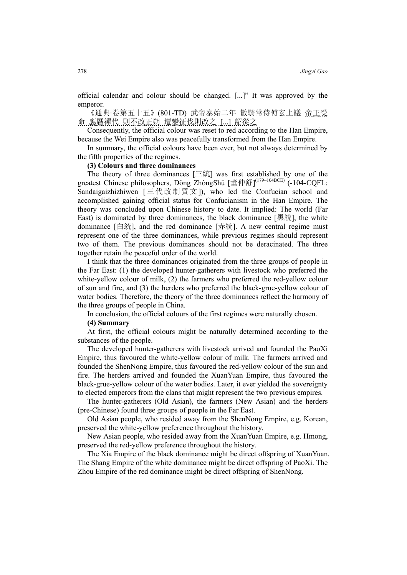official calendar and colour should be changed. [...]" It was approved by the emperor.

《通典·卷第五十五》(801-TD) 武帝泰始二年 散騎常侍傅玄上議 帝王受 命 應曆禪代 則不改正朔 遭變征伐則改之 [...] 詔從之

Consequently, the official colour was reset to red according to the Han Empire, because the Wei Empire also was peacefully transformed from the Han Empire.

In summary, the official colours have been ever, but not always determined by the fifth properties of the regimes.

**(3) Colours and three dominances** 

The theory of three dominances  $[\equiv \hat{\mathfrak{M}}]$  was first established by one of the greatest Chinese philosophers, Dǒng ZhòngShū [董仲舒]<sup>(179~104BCE)</sup> (-104-CQFL: Sandaigaizhizhiwen  $[\Xi \nmid \exists \mathcal{H} \nmid \exists \mathcal{H} \exists \mathcal{H}$  ]), who led the Confucian school and accomplished gaining official status for Confucianism in the Han Empire. The theory was concluded upon Chinese history to date. It implied: The world (Far East) is dominated by three dominances, the black dominance [黑統], the white dominance [白統], and the red dominance [赤統]. A new central regime must represent one of the three dominances, while previous regimes should represent two of them. The previous dominances should not be deracinated. The three together retain the peaceful order of the world.

I think that the three dominances originated from the three groups of people in the Far East: (1) the developed hunter-gatherers with livestock who preferred the white-yellow colour of milk, (2) the farmers who preferred the red-yellow colour of sun and fire, and (3) the herders who preferred the black-grue-yellow colour of water bodies. Therefore, the theory of the three dominances reflect the harmony of the three groups of people in China.

In conclusion, the official colours of the first regimes were naturally chosen.

**(4) Summary** 

At first, the official colours might be naturally determined according to the substances of the people.

The developed hunter-gatherers with livestock arrived and founded the PaoXi Empire, thus favoured the white-yellow colour of milk. The farmers arrived and founded the ShenNong Empire, thus favoured the red-yellow colour of the sun and fire. The herders arrived and founded the XuanYuan Empire, thus favoured the black-grue-yellow colour of the water bodies. Later, it ever yielded the sovereignty to elected emperors from the clans that might represent the two previous empires.

The hunter-gatherers (Old Asian), the farmers (New Asian) and the herders (pre-Chinese) found three groups of people in the Far East.

Old Asian people, who resided away from the ShenNong Empire, e.g. Korean, preserved the white-yellow preference throughout the history.

New Asian people, who resided away from the XuanYuan Empire, e.g. Hmong, preserved the red-yellow preference throughout the history.

The Xia Empire of the black dominance might be direct offspring of XuanYuan. The Shang Empire of the white dominance might be direct offspring of PaoXi. The Zhou Empire of the red dominance might be direct offspring of ShenNong.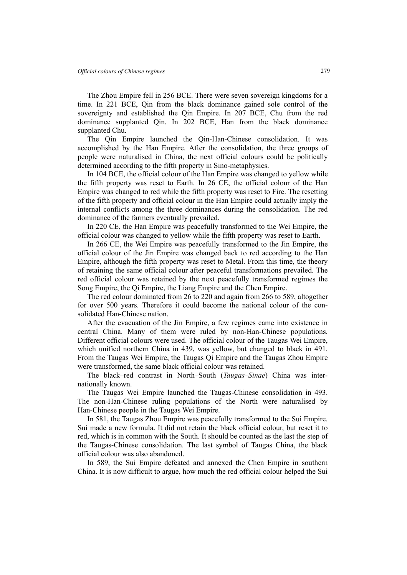The Zhou Empire fell in 256 BCE. There were seven sovereign kingdoms for a time. In 221 BCE, Qin from the black dominance gained sole control of the sovereignty and established the Qin Empire. In 207 BCE, Chu from the red dominance supplanted Qin. In 202 BCE, Han from the black dominance supplanted Chu.

The Qin Empire launched the Qin-Han-Chinese consolidation. It was accomplished by the Han Empire. After the consolidation, the three groups of people were naturalised in China, the next official colours could be politically determined according to the fifth property in Sino-metaphysics.

In 104 BCE, the official colour of the Han Empire was changed to yellow while the fifth property was reset to Earth. In 26 CE, the official colour of the Han Empire was changed to red while the fifth property was reset to Fire. The resetting of the fifth property and official colour in the Han Empire could actually imply the internal conflicts among the three dominances during the consolidation. The red dominance of the farmers eventually prevailed.

In 220 CE, the Han Empire was peacefully transformed to the Wei Empire, the official colour was changed to yellow while the fifth property was reset to Earth.

In 266 CE, the Wei Empire was peacefully transformed to the Jin Empire, the official colour of the Jin Empire was changed back to red according to the Han Empire, although the fifth property was reset to Metal. From this time, the theory of retaining the same official colour after peaceful transformations prevailed. The red official colour was retained by the next peacefully transformed regimes the Song Empire, the Qi Empire, the Liang Empire and the Chen Empire.

The red colour dominated from 26 to 220 and again from 266 to 589, altogether for over 500 years. Therefore it could become the national colour of the consolidated Han-Chinese nation.

After the evacuation of the Jin Empire, a few regimes came into existence in central China. Many of them were ruled by non-Han-Chinese populations. Different official colours were used. The official colour of the Taugas Wei Empire, which unified northern China in 439, was yellow, but changed to black in 491. From the Taugas Wei Empire, the Taugas Qi Empire and the Taugas Zhou Empire were transformed, the same black official colour was retained.

The black–red contrast in North–South (*Taugas*–*Sinae*) China was internationally known.

The Taugas Wei Empire launched the Taugas-Chinese consolidation in 493. The non-Han-Chinese ruling populations of the North were naturalised by Han-Chinese people in the Taugas Wei Empire.

In 581, the Taugas Zhou Empire was peacefully transformed to the Sui Empire. Sui made a new formula. It did not retain the black official colour, but reset it to red, which is in common with the South. It should be counted as the last the step of the Taugas-Chinese consolidation. The last symbol of Taugas China, the black official colour was also abandoned.

In 589, the Sui Empire defeated and annexed the Chen Empire in southern China. It is now difficult to argue, how much the red official colour helped the Sui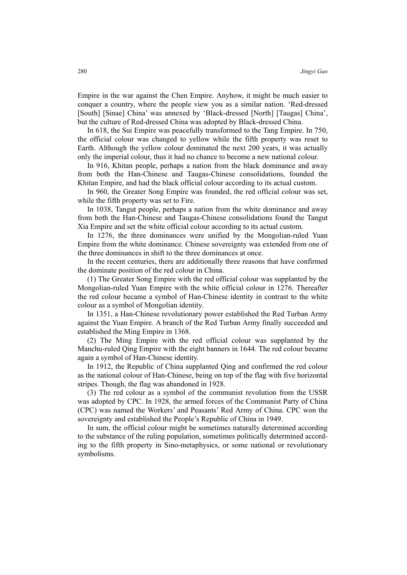Empire in the war against the Chen Empire. Anyhow, it might be much easier to conquer a country, where the people view you as a similar nation. 'Red-dressed [South] [Sinae] China' was annexed by 'Black-dressed [North] [Taugas] China', but the culture of Red-dressed China was adopted by Black-dressed China.

In 618, the Sui Empire was peacefully transformed to the Tang Empire. In 750, the official colour was changed to yellow while the fifth property was reset to Earth. Although the yellow colour dominated the next 200 years, it was actually only the imperial colour, thus it had no chance to become a new national colour.

In 916, Khitan people, perhaps a nation from the black dominance and away from both the Han-Chinese and Taugas-Chinese consolidations, founded the Khitan Empire, and had the black official colour according to its actual custom.

In 960, the Greater Song Empire was founded, the red official colour was set, while the fifth property was set to Fire.

In 1038, Tangut people, perhaps a nation from the white dominance and away from both the Han-Chinese and Taugas-Chinese consolidations found the Tangut Xia Empire and set the white official colour according to its actual custom.

In 1276, the three dominances were unified by the Mongolian-ruled Yuan Empire from the white dominance. Chinese sovereignty was extended from one of the three dominances in shift to the three dominances at once.

In the recent centuries, there are additionally three reasons that have confirmed the dominate position of the red colour in China.

(1) The Greater Song Empire with the red official colour was supplanted by the Mongolian-ruled Yuan Empire with the white official colour in 1276. Thereafter the red colour became a symbol of Han-Chinese identity in contrast to the white colour as a symbol of Mongolian identity.

In 1351, a Han-Chinese revolutionary power established the Red Turban Army against the Yuan Empire. A branch of the Red Turban Army finally succeeded and established the Ming Empire in 1368.

(2) The Ming Empire with the red official colour was supplanted by the Manchu-ruled Qing Empire with the eight banners in 1644. The red colour became again a symbol of Han-Chinese identity.

In 1912, the Republic of China supplanted Qing and confirmed the red colour as the national colour of Han-Chinese, being on top of the flag with five horizontal stripes. Though, the flag was abandoned in 1928.

(3) The red colour as a symbol of the communist revolution from the USSR was adopted by CPC. In 1928, the armed forces of the Communist Party of China (CPC) was named the Workers' and Peasants' Red Army of China. CPC won the sovereignty and established the People's Republic of China in 1949.

In sum, the official colour might be sometimes naturally determined according to the substance of the ruling population, sometimes politically determined according to the fifth property in Sino-metaphysics, or some national or revolutionary symbolisms.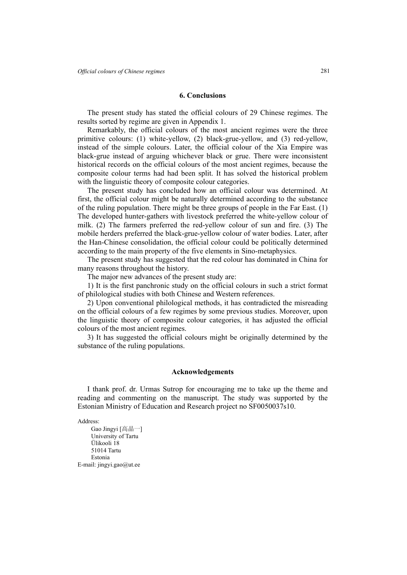#### **6. Conclusions**

The present study has stated the official colours of 29 Chinese regimes. The results sorted by regime are given in Appendix 1.

Remarkably, the official colours of the most ancient regimes were the three primitive colours: (1) white-yellow, (2) black-grue-yellow, and (3) red-yellow, instead of the simple colours. Later, the official colour of the Xia Empire was black-grue instead of arguing whichever black or grue. There were inconsistent historical records on the official colours of the most ancient regimes, because the composite colour terms had had been split. It has solved the historical problem with the linguistic theory of composite colour categories.

The present study has concluded how an official colour was determined. At first, the official colour might be naturally determined according to the substance of the ruling population. There might be three groups of people in the Far East. (1) The developed hunter-gathers with livestock preferred the white-yellow colour of milk. (2) The farmers preferred the red-yellow colour of sun and fire. (3) The mobile herders preferred the black-grue-yellow colour of water bodies. Later, after the Han-Chinese consolidation, the official colour could be politically determined according to the main property of the five elements in Sino-metaphysics.

The present study has suggested that the red colour has dominated in China for many reasons throughout the history.

The major new advances of the present study are:

1) It is the first panchronic study on the official colours in such a strict format of philological studies with both Chinese and Western references.

2) Upon conventional philological methods, it has contradicted the misreading on the official colours of a few regimes by some previous studies. Moreover, upon the linguistic theory of composite colour categories, it has adjusted the official colours of the most ancient regimes.

3) It has suggested the official colours might be originally determined by the substance of the ruling populations.

### **Acknowledgements**

I thank prof. dr. Urmas Sutrop for encouraging me to take up the theme and reading and commenting on the manuscript. The study was supported by the Estonian Ministry of Education and Research project no SF0050037s10.

Address:

Gao Jingyi [高晶一] University of Tartu Ülikooli 18 51014 Tartu Estonia E-mail: jingyi.gao@ut.ee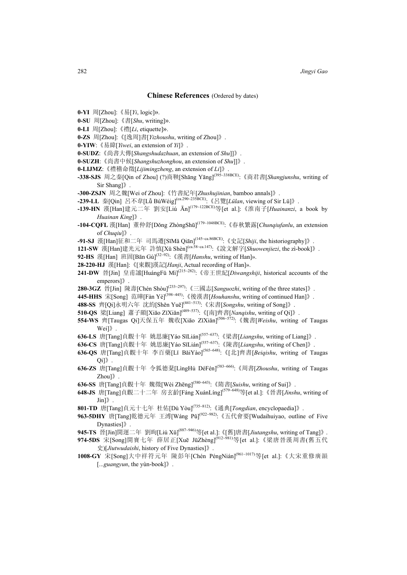#### **Chinese References** (Ordered by dates)

- **0-YI** 周[Zhou]:《易[*Yi*, logic]».
- **0-SU** 周[Zhou]:《書[*Shu*, writing]».
- **0-LI** 周[Zhou]:《禮[*Li*, etiquette]».
- **0-ZS** 周[Zhou]:《[逸周]書[*Yizhoushu*, writing of Zhou]》.
- **0-YIW**:《易緯[*Yiwei*, an extension of *Yi*]》.
- **0-SUDZ**:《尚書大傳[*Shangshudazhuan*, an extension of *Shu*]]》.
- **0-SUZH**:《尚書中候[*Shangshuzhonghou*, an extension of *Shu*]]》.
- **0-LIJMZ**:《禮稽命徵[*Lijimingzheng*, an extension of *Li*]》.
- **-338-SJS** 周之秦[Qin of Zhou] (?)商鞅[Shāng Yāng](395~338BCE):《商君書[*Shangjunshu*, writing of Sir Shang]》.
- **-30θ-ZSJN** 周之魏[Wei of Zhou]:《竹書紀年[*Zhushujinian*, bamboo annals]》.
- **-239-LL** 秦[Qin] 呂不韋[Lǚ BùWéig](ca.290~235BCE):《呂覽[*Lülan*, viewing of Sir Lü]》.
- **-139-HN** 漢[Han]建元二年 劉安[Liú Ān](179~122BCE)等[et al.]:《淮南子[*Huainanzi*, a book by *Huainan King*]》.
- **-104-CQFL** 漢[Han] 董仲舒[Dǒng ZhòngShū] (179~1048BCE):《春秋繁露[*Chunqiufanlu*, an extension of *Chuqiu*]》.
- **-91-SJ** 漢[Han]征和二年 司馬遷[SīMǎ Qiān](145~ca.86BCE):《史記[*Shiji*, the historiography]》.
- **121-SW** 漢[Han]建光元年 許慎[Xǔ Shèn](ca.58~ca.147):《說文解字[*Shuowenjiezi*, the zì-book]》.
- **92-HS** 漢[Han] 班固[Bān Gù]<sup>(32~92)</sup>: 《漢書[*Hanshu*, writing of Han]».
- **28-220-HJ** 漢[Han]:《[東觀]漢記[*Hanji*, Actual recording of Han]».
- **241-DW** 晉[Jin] 皇甫謐[HuángFǔ Mì](215~282):《帝王世紀[*Diwangshiji*, historical accounts of the emperors]》.
- **28θ-3GZ** 晉[Jin] 陳壽[Chén Shòu](233~297):《三國志[*Sanguozhi*, writing of the three states]》.
- **445-HHS** 宋[Song] 范曄[Fàn Yè](398~445):《後漢書[*Houhanshu*, writing of continued Han]》.
- **488-SS** 齊[Qi]永明六年 沈約[Shěn Yuē] (441~513):《宋書[*Songshu*, writing of Song]》.
- **51θ-QS** 梁[Liang] 蕭子顯[Xiāo ZǐXiǎn](489~537):《[南]齊書[*Nanqishu*, writing of Qi]》.
- **554-WS** 齊[Taugas Qi]天保五年 魏收[Xiāo ZǐXiǎn](506~572):《魏書[*Weishu*, writing of Taugas Wei]》.
- **636-LS** 唐[Tang]貞觀十年 姚思廉[Yáo SīLián](557~637):《梁書[*Liangshu*, writing of Liang]》.
- **636-CS** 唐[Tang]貞觀十年 姚思廉[Yáo SīLián](557~637):《陳書[*Liangshu*, writing of Chen]》.
- **636-QS** 唐[Tang]貞觀十年 李百藥[Lǐ BǎiYào](565~648):《[北]齊書[*Beiqishu*, writing of Taugas Qi]》.
- **636-ZS** 唐[Tang]貞觀十年 令狐德棻[LìngHú DéFén](583~666):《周書[*Zhoushu*, writing of Taugas Zhou]》.
- **636-SS** 唐[Tang]貞觀十年 魏徵[Wèi Zhēng](580~643):《隋書[*Suishu*, writing of Sui]》.
- **648-JS** 唐[Tang]貞觀二十二年 房玄齡[Fáng XuánLíng](579~648)等[et al.]:《晉書[*Jinshu*, writing of Jin]》.
- **801-TD** 唐[Tang]貞元十七年 杜佑[Dù Yòu](735~812):《通典[*Tongdian*, encyclopaedia]》.
- **963-5DHY** 唐[Tang]乾德元年 王溥[Wáng Pǔ] (922~982):《五代會要[Wudaihuiyao, outline of Five Dynasties]》.
- **945-TS** 晉[Jin]開運二年 劉昫[Liú Xǔ] (887~946)等[et al.]:《[舊]唐書[*Jiutangshu*, writing of Tang]》.
- **974-5DS** 宋[Song]開寶七年 薛居正[Xuē JūZhèng](912~981)等[et al.]:《梁唐晉漢周書(舊五代 史)[*Jiutwudaishi*, history of Five Dynasties]》.
- **1008-GY** 宋[Song]大中祥符元年 陳彭年[Chén PéngNián](961~1017)等[et al.]:《大宋重修廣韻 [...*guangyun*, the yùn-book]》.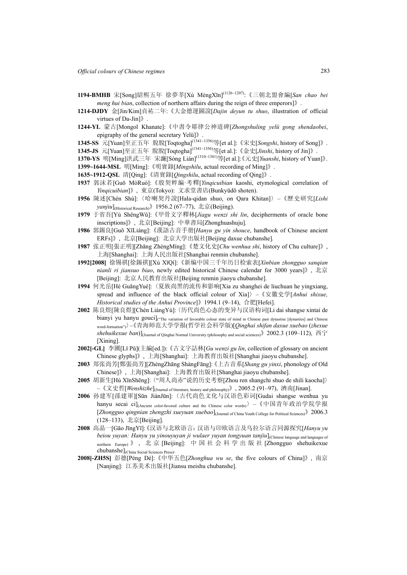- **1194-BMHB** 宋[Song]紹熙五年 徐夢莘[Xú MèngXīn](1126~1207):《三朝北盟會編[*San chao bei meng hui bian*, collection of northern affairs during the reign of three emperors]》.
- **1214-DJDY** 金[Jin/Kim]貞祐二年:《大金德運圖說[*Dajin deyun tu shuo*, illustration of official virtues of Da-Jin]》.
- **1244-YL** 蒙古[Mongol Khanate]:《中書令耶律公神道碑[*Zhongshuling yelü gong shendaobei*, epigraphy of the general secretary Yelü]》.
- **1345-SS** 元[Yuan]至正五年 脫脫[Toqtogha](1341~1356)等[et al.]:《宋史[*Songshi*, history of Song]》.
- **1345-JS** 元[Yuan]至正五年 脫脫[Toqtogha](1341~1356)等[et al.]:《金史[*Jinshi*, history of Jin]》.
- **1370-YS** 明[Ming]洪武三年 宋濂[Sòng Lián](1310~1381)等[et al.]:《元史[*Yuanshi*, history of Yuan]》.
- **1399~1644-MSL** 明[Ming]:《明實錄[*Mingshilu*, actual recording of Ming]》.
- **1635~1912-QSL** 清[Qing]:《清實錄[*Qingshilu*, actual recording of Qing]》.
- **1937** 郭沫若[Guō MòRuò]:《殷契粹編·考釋[*Yinqicuibian* kaoshi, etymological correlation of *Yinqicuibian*]》, 東京(Tokyo): 文求堂書店(Bunkyūdō shoten).
- **1956** 陳述[Chén Shù]:〈哈喇契丹說[Hala-qidan shuo, on Qara Khitan]〉–《歷史研究[*Lishi yanjiu*](Historical Research)》1956.2 (67–77), 北京(Beijing).
- **1979** 于省吾[Yú ShěngWǔ]:《甲骨文字釋林[*Jiagu wenzi shi lin*, decipherments of oracle bone inscriptions]》, 北京[Beijing]: 中華書局[Zhonghuashuju].
- **1986** 郭錫良[Guō XīLiáng]:《漢語古音手册[*Hanyu gu yin shouce*, handbook of Chinese ancient ERFs]》, 北京[Beijing]: 北京大学出版社[Beijing daxue chubanshe].
- **1987** 张正明[張正明][Zhāng ZhèngMíng]:《楚文化史[*Chu wenhua shi*, history of Chu culture]》, 上海[Shanghai]: 上海人民出版社[Shanghai renmin chubanshe].
- **1992[2008]** 徐锡祺[徐錫祺][Xú XīQí]:《新编中国三千年历日检索表[*Xinbian zhongguo sanqian nianli ri jiansuo biao*, newly edited historical Chinese calendar for 3000 years]》, 北京 [Beijing]: 北京人民教育出版社[Beijing renmin jiaoyu chubanshe].
- **1994** 何光岳[Hé GuāngYuè]:〈夏族尚黑的流传和影响[Xia zu shanghei de liuchuan he yingxiang, spread and influence of the black official colour of Xia]〉–《安徽史学[*Anhui shixue, Historical studies of the Anhui Province*]》1994.1 (9–14), 合肥[Hefei].
- **2002** 陈良煜[陳良煜][Chén LiángYù]:〈历代尚色心态的变异与汉语构词[Li dai shangse xintai de bianyi yu hanyu gouci]("The variation of favorable colour state of mind in Chinese past dynastise [dynasties] and Chinese word-formation")〉–《青海师范大学学报(哲学社会科学版)[*Qinghai shifan daxue xuebao* (*zhexue shehuikexue ban*)](Journal of Qinghai Normal University (philosophy and social sciences)》2002.3 (109–112), 西宁 [Xining].
- **2002[-GL]** 李圃[Lǐ Pǔ](主編[ed.]):《古文字詁林[*Gu wenzi gu lin*, collection of glossary on ancient Chinese glyphs]》, 上海[Shanghai]: 上海教育出版社[Shanghai jiaoyu chubanshe].
- **2003** 郑张尚芳[鄭張尚芳][ZhèngZhāng ShàngFāng]:《上古音系[*Shang gu yinxi*, phonology of Old Chinese]》, 上海[Shanghai]: 上海教育出版社[Shanghai jiaoyu chubanshe].
- **2005** 胡新生[Hú XīnShēng]:〈"周人尚赤"说的历史考察[Zhou ren shangchi shuo de shili kaocha]〉 –《文史哲[*Wenshizhe*](Journal of literature, history and philosophy)》, 2005.2 (91–97), 濟南[Jinan].
- **2006** 孙建军[孫建軍][Sūn JiànJūn]:〈古代尚色文化与汉语色彩词[Gudai shangse wenhua yu hanyu secai ci]<sub>(Ancient color-favored culture and the Chinese color words)</sub>> – 《中国青年政治学院学报 [*Zhongguo qingnian zhengzhi xueyuan xuebao*](Journal of China Youth College for Political Sciences)》2006.3 (128–133), 北京[Beijing].
- **2008** 高晶一[Gāo JīngYī]:《汉语与北欧语言:汉语与印欧语言及乌拉尔语言同源探究[*Hanyu yu beiou yuyan: Hanyu yu yinouyuyan ji wulaer yuyan tongyuan tanjiu*](Chinese language and languages of northern Europe)》, 北京 [Beijing]: 中国社会科学出版社 [Zhongguo shehuikexue chubanshe](China Social Sciences Press).
- **2008[-ZH5S]** 彭德[Péng Dé]:《中华五色[*Zhonghua wu se*, the five colours of China]》, 南京 [Nanjing]: 江苏美术出版社[Jiansu meishu chubanshe].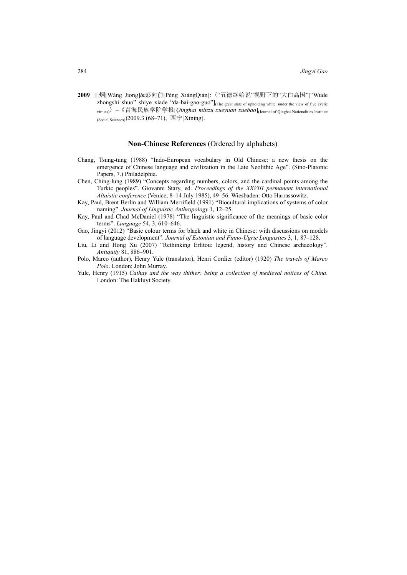**2009** 王炯[Wáng Jiong]&彭向前[Péng XiàngQián]:〈"五德终始说"视野下的"大白高国"["Wude zhongshi shuo" shiye xiade "da-bai-gao-guo"]<sub>(The great state of upholding white: under the view of five cyclic</sub> virtues)〉–《青海民族学院学报[*Qinghai minzu xueyuan xuebao*](Journal of Qinghai Nationalities Institute (Social Sciences) $2009.3$  (68-71), 西宁[Xining].

### **Non-Chinese References** (Ordered by alphabets)

- Chang, Tsung-tung (1988) "Indo-European vocabulary in Old Chinese: a new thesis on the emergence of Chinese language and civilization in the Late Neolithic Age". (Sino-Platonic Papers, 7.) Philadelphia.
- Chen, Ching-lung (1989) "Concepts regarding numbers, colors, and the cardinal points among the Turkic peoples". Giovanni Stary, ed. *Proceedings of the XXVIII permanent international Altaistic conference* (Venice, 8–14 July 1985), 49–56. Wiesbaden: Otto Harrassowitz.
- Kay, Paul, Brent Berlin and William Merrifield (1991) "Biocultural implications of systems of color naming". *Journal of Linguistic Anthropology* 1, 12–25.
- Kay, Paul and Chad McDaniel (1978) "The linguistic significance of the meanings of basic color terms". *Language* 54, 3, 610–646.
- Gao, Jingyi (2012) "Basic colour terms for black and white in Chinese: with discussions on models of language development". *Journal of Estonian and Finno-Ugric Linguistics* 3, 1, 87–128.
- Liu, Li and Hong Xu (2007) "Rethinking Erlitou: legend, history and Chinese archaeology". *Antiquity* 81, 886–901.
- Polo, Marco (author), Henry Yule (translator), Henri Cordier (editor) (1920) *The travels of Marco Polo*. London: John Murray.
- Yule, Henry (1915) *Cathay and the way thither: being a collection of medieval notices of China*. London: The Hakluyt Society.